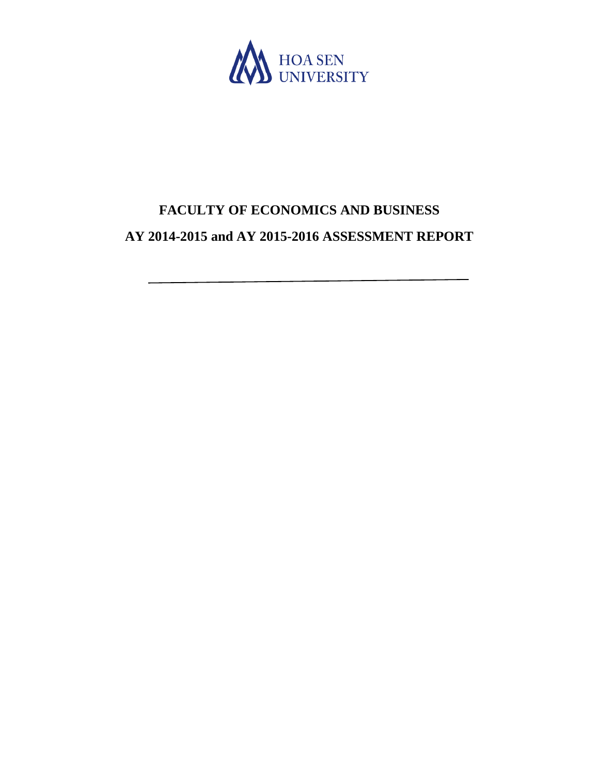

# **FACULTY OF ECONOMICS AND BUSINESS AY 2014-2015 and AY 2015-2016 ASSESSMENT REPORT**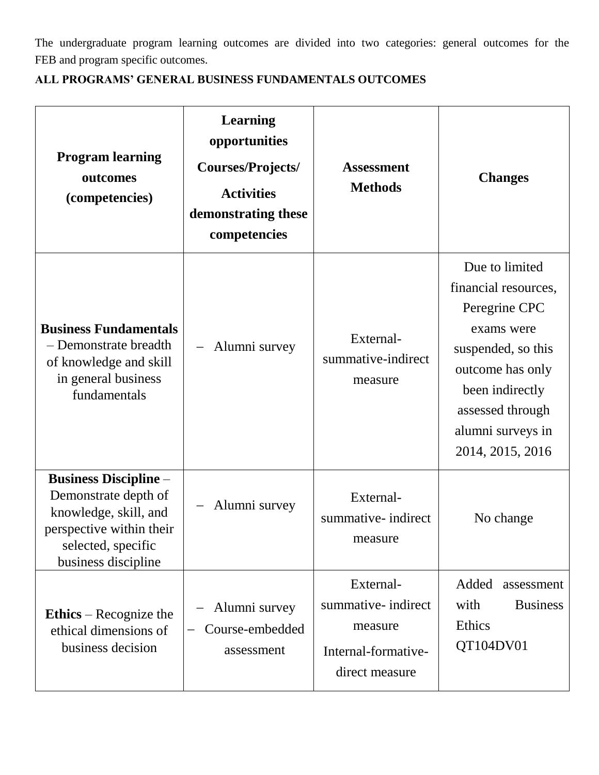The undergraduate program learning outcomes are divided into two categories: general outcomes for the FEB and program specific outcomes.

| <b>Program learning</b><br>outcomes<br>(competencies)                                                                                                  | <b>Learning</b><br>opportunities<br>Courses/Projects/<br><b>Activities</b><br>demonstrating these<br>competencies | <b>Assessment</b><br><b>Methods</b>                                                  | <b>Changes</b>                                                                                                                                                                                  |  |
|--------------------------------------------------------------------------------------------------------------------------------------------------------|-------------------------------------------------------------------------------------------------------------------|--------------------------------------------------------------------------------------|-------------------------------------------------------------------------------------------------------------------------------------------------------------------------------------------------|--|
| <b>Business Fundamentals</b><br>- Demonstrate breadth<br>of knowledge and skill<br>in general business<br>fundamentals                                 | Alumni survey                                                                                                     | External-<br>summative-indirect<br>measure                                           | Due to limited<br>financial resources,<br>Peregrine CPC<br>exams were<br>suspended, so this<br>outcome has only<br>been indirectly<br>assessed through<br>alumni surveys in<br>2014, 2015, 2016 |  |
| <b>Business Discipline -</b><br>Demonstrate depth of<br>knowledge, skill, and<br>perspective within their<br>selected, specific<br>business discipline | Alumni survey                                                                                                     | External-<br>summative- indirect<br>measure                                          | No change                                                                                                                                                                                       |  |
| Ethics – Recognize the<br>ethical dimensions of<br>business decision                                                                                   | Alumni survey<br>Course-embedded<br>assessment                                                                    | External-<br>summative- indirect<br>measure<br>Internal-formative-<br>direct measure | Added<br>assessment<br><b>Business</b><br>with<br>Ethics<br>QT104DV01                                                                                                                           |  |

### **ALL PROGRAMS' GENERAL BUSINESS FUNDAMENTALS OUTCOMES**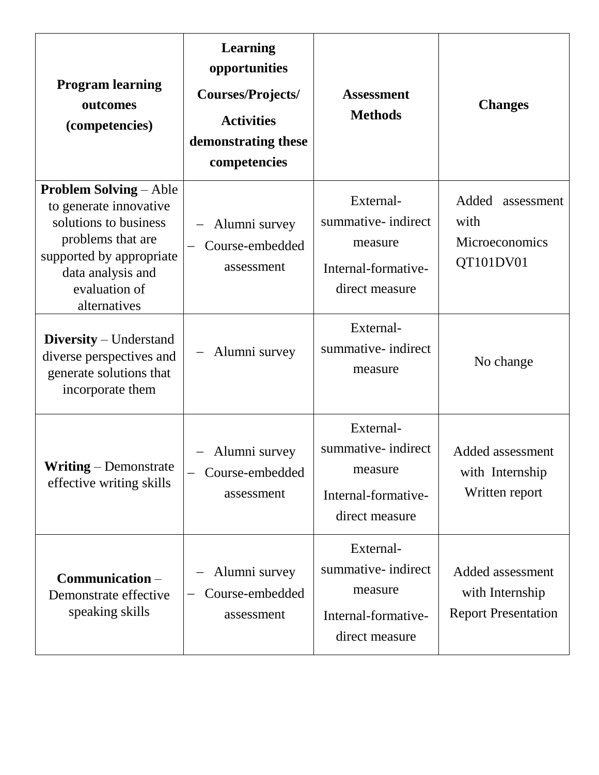| <b>Program learning</b><br>outcomes<br>(competencies)                                                                                                                                   | <b>Learning</b><br>opportunities<br>Courses/Projects/<br><b>Activities</b><br>demonstrating these<br>competencies | <b>Assessment</b><br><b>Methods</b>                                                  | <b>Changes</b>                                                    |
|-----------------------------------------------------------------------------------------------------------------------------------------------------------------------------------------|-------------------------------------------------------------------------------------------------------------------|--------------------------------------------------------------------------------------|-------------------------------------------------------------------|
| <b>Problem Solving – Able</b><br>to generate innovative<br>solutions to business<br>problems that are<br>supported by appropriate<br>data analysis and<br>evaluation of<br>alternatives | Alumni survey<br>Course-embedded<br>$\overline{\phantom{m}}$<br>assessment                                        | External-<br>summative- indirect<br>measure<br>Internal-formative-<br>direct measure | Added<br>assessment<br>with<br>Microeconomics<br>QT101DV01        |
| <b>Diversity</b> – Understand<br>diverse perspectives and<br>generate solutions that<br>incorporate them                                                                                | Alumni survey                                                                                                     | External-<br>summative-indirect<br>measure                                           | No change                                                         |
| <b>Writing</b> – Demonstrate<br>effective writing skills                                                                                                                                | - Alumni survey<br>Course-embedded<br>assessment                                                                  | External-<br>summative- indirect<br>measure<br>Internal-formative-<br>direct measure | Added assessment<br>with Internship<br>Written report             |
| Communication -<br>Demonstrate effective<br>speaking skills                                                                                                                             | Alumni survey<br>Course-embedded<br>assessment                                                                    | External-<br>summative- indirect<br>measure<br>Internal-formative-<br>direct measure | Added assessment<br>with Internship<br><b>Report Presentation</b> |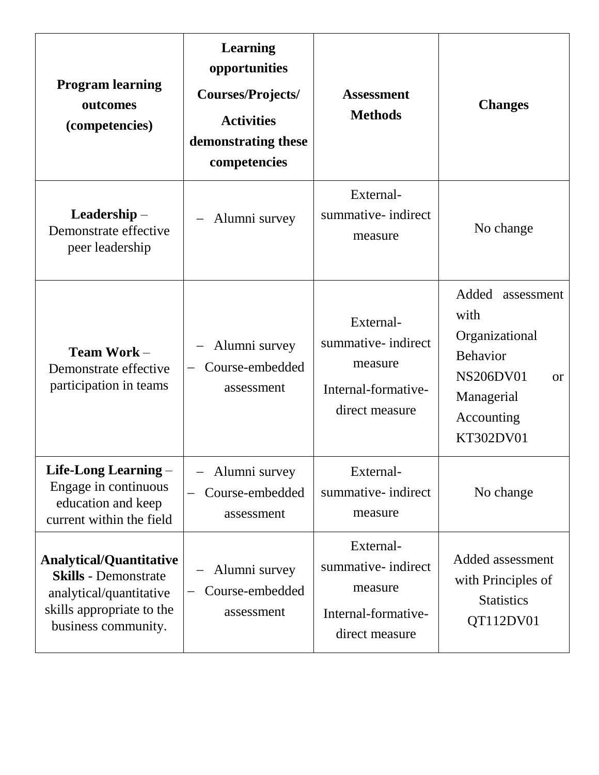| <b>Program learning</b><br>outcomes<br>(competencies)                                                                                        | <b>Learning</b><br>opportunities<br>Courses/Projects/<br><b>Activities</b><br>demonstrating these<br>competencies | <b>Assessment</b><br><b>Methods</b>                                                  | <b>Changes</b>                                                                                                                             |
|----------------------------------------------------------------------------------------------------------------------------------------------|-------------------------------------------------------------------------------------------------------------------|--------------------------------------------------------------------------------------|--------------------------------------------------------------------------------------------------------------------------------------------|
| Leadership –<br>Demonstrate effective<br>peer leadership                                                                                     | Alumni survey                                                                                                     | External-<br>summative- indirect<br>measure                                          | No change                                                                                                                                  |
| Team Work -<br>Demonstrate effective<br>participation in teams                                                                               | Alumni survey<br>Course-embedded<br>assessment                                                                    | External-<br>summative- indirect<br>measure<br>Internal-formative-<br>direct measure | Added<br>assessment<br>with<br>Organizational<br><b>Behavior</b><br><b>NS206DV01</b><br><b>or</b><br>Managerial<br>Accounting<br>KT302DV01 |
| Life-Long Learning -<br>Engage in continuous<br>education and keep<br>current within the field                                               | Alumni survey<br>Course-embedded<br>assessment                                                                    | External-<br>summative- indirect<br>measure                                          | No change                                                                                                                                  |
| <b>Analytical/Quantitative</b><br><b>Skills</b> - Demonstrate<br>analytical/quantitative<br>skills appropriate to the<br>business community. | Alumni survey<br>Course-embedded<br>assessment                                                                    | External-<br>summative- indirect<br>measure<br>Internal-formative-<br>direct measure | Added assessment<br>with Principles of<br><b>Statistics</b><br>QT112DV01                                                                   |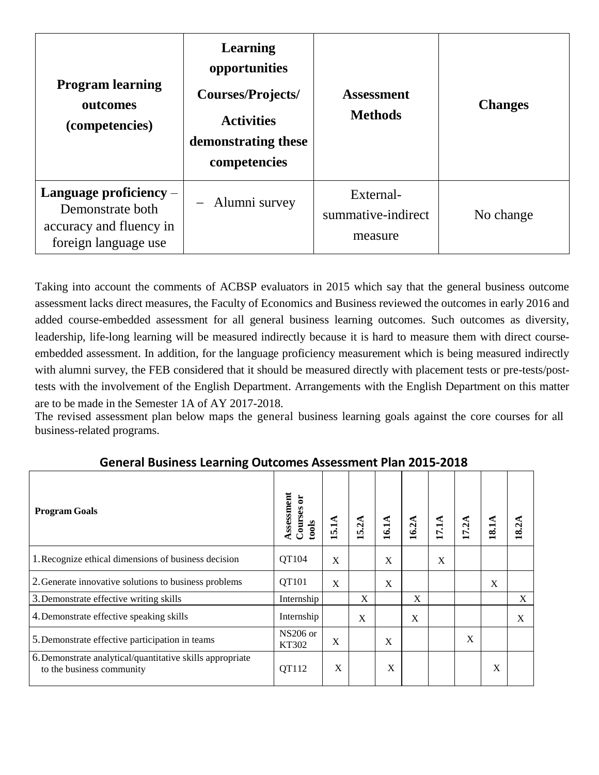| <b>Program learning</b><br>outcomes<br>(competencies)                                           | <b>Learning</b><br>opportunities<br>Courses/Projects/<br><b>Activities</b><br>demonstrating these<br>competencies | <b>Assessment</b><br><b>Methods</b>        | <b>Changes</b> |
|-------------------------------------------------------------------------------------------------|-------------------------------------------------------------------------------------------------------------------|--------------------------------------------|----------------|
| Language proficiency $-$<br>Demonstrate both<br>accuracy and fluency in<br>foreign language use | - Alumni survey                                                                                                   | External-<br>summative-indirect<br>measure | No change      |

Taking into account the comments of ACBSP evaluators in 2015 which say that the general business outcome assessment lacks direct measures, the Faculty of Economics and Business reviewed the outcomes in early 2016 and added course-embedded assessment for all general business learning outcomes. Such outcomes as diversity, leadership, life-long learning will be measured indirectly because it is hard to measure them with direct courseembedded assessment. In addition, for the language proficiency measurement which is being measured indirectly with alumni survey, the FEB considered that it should be measured directly with placement tests or pre-tests/posttests with the involvement of the English Department. Arrangements with the English Department on this matter are to be made in the Semester 1A of AY 2017-2018.

The revised assessment plan below maps the general business learning goals against the core courses for all business-related programs.

| <u>acueral pagurego ecarrung aatoomeg vogegoment i ian easo easo</u>                   |                                  |      |                           |      |      |        |       |       |       |
|----------------------------------------------------------------------------------------|----------------------------------|------|---------------------------|------|------|--------|-------|-------|-------|
| <b>Program Goals</b>                                                                   | Assessment<br>Courses or<br>ools | 5.1A | 5.2A                      | 16.1 | 16.2 | ≓<br>F | 17.2A | 18.1A | 18.2A |
| 1. Recognize ethical dimensions of business decision                                   | QT104                            | X    |                           | X    |      | X      |       |       |       |
| 2. Generate innovative solutions to business problems                                  | QT101                            | X    |                           | X    |      |        |       | X     |       |
| 3. Demonstrate effective writing skills                                                | Internship                       |      | $\boldsymbol{\mathrm{X}}$ |      | X    |        |       |       | X     |
| 4. Demonstrate effective speaking skills                                               | Internship                       |      | X                         |      | X    |        |       |       | X     |
| 5. Demonstrate effective participation in teams                                        | $NS206$ or<br>KT302              | X    |                           | X    |      |        | X     |       |       |
| 6. Demonstrate analytical/quantitative skills appropriate<br>to the business community | QT112                            | X    |                           | X    |      |        |       | X     |       |

#### **General Business Learning Outcomes Assessment Plan 2015-2018**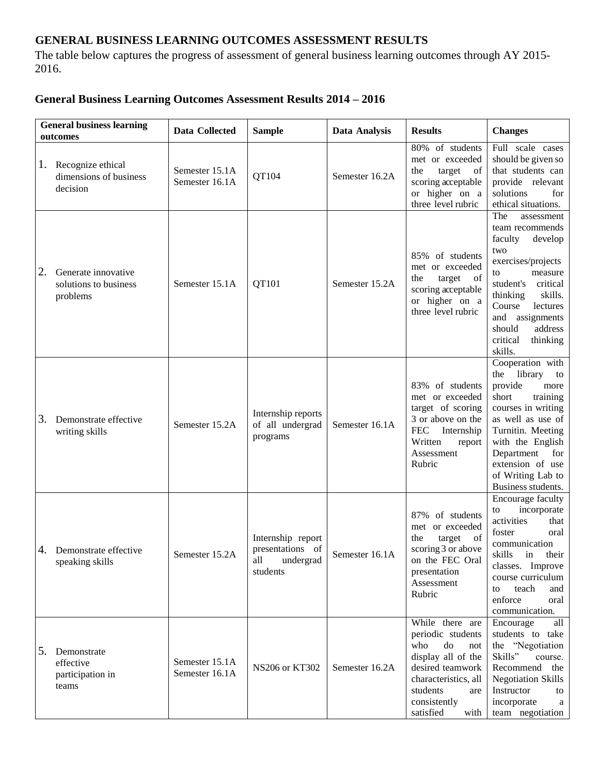#### **GENERAL BUSINESS LEARNING OUTCOMES ASSESSMENT RESULTS**

The table below captures the progress of assessment of general business learning outcomes through AY 2015- 2016.

#### **General Business Learning Outcomes Assessment Results 2014 – 2016**

| <b>General business learning</b><br>outcomes                   | Data Collected                   | <b>Sample</b>                                                         | Data Analysis  | <b>Results</b>                                                                                                                                                                     | <b>Changes</b>                                                                                                                                                                                                                                            |
|----------------------------------------------------------------|----------------------------------|-----------------------------------------------------------------------|----------------|------------------------------------------------------------------------------------------------------------------------------------------------------------------------------------|-----------------------------------------------------------------------------------------------------------------------------------------------------------------------------------------------------------------------------------------------------------|
| Recognize ethical<br>1.<br>dimensions of business<br>decision  | Semester 15.1A<br>Semester 16.1A | QT104                                                                 | Semester 16.2A | 80% of students<br>met or exceeded<br>the<br>target<br>of<br>scoring acceptable<br>or higher on a<br>three level rubric                                                            | Full scale cases<br>should be given so<br>that students can<br>provide relevant<br>solutions<br>for<br>ethical situations.                                                                                                                                |
| 2.<br>Generate innovative<br>solutions to business<br>problems | Semester 15.1A                   | QT101                                                                 | Semester 15.2A | 85% of students<br>met or exceeded<br>target<br><sub>of</sub><br>the<br>scoring acceptable<br>or higher on a<br>three level rubric                                                 | The<br>assessment<br>team recommends<br>faculty<br>develop<br>two<br>exercises/projects<br>measure<br>to<br>student's<br>critical<br>thinking<br>skills.<br>Course<br>lectures<br>and assignments<br>should<br>address<br>critical<br>thinking<br>skills. |
| 3.<br>Demonstrate effective<br>writing skills                  | Semester 15.2A                   | Internship reports<br>of all undergrad<br>programs                    | Semester 16.1A | 83% of students<br>met or exceeded<br>target of scoring<br>3 or above on the<br><b>FEC</b><br>Internship<br>Written<br>report<br>Assessment<br>Rubric                              | Cooperation with<br>library<br>the<br>to<br>provide<br>more<br>short<br>training<br>courses in writing<br>as well as use of<br>Turnitin. Meeting<br>with the English<br>Department<br>for<br>extension of use<br>of Writing Lab to<br>Business students.  |
| 4. Demonstrate effective<br>speaking skills                    | Semester 15.2A                   | Internship report<br>presentations of<br>all<br>undergrad<br>students | Semester 16.1A | 87%<br>of students<br>met or exceeded<br>target<br>the<br>of<br>scoring 3 or above<br>on the FEC Oral<br>presentation<br>Assessment<br>Rubric                                      | Encourage faculty<br>incorporate<br>to<br>activities<br>that<br>foster<br>oral<br>communication<br>skills in their<br>classes. Improve<br>course curriculum<br>teach<br>and<br>to<br>enforce<br>oral<br>communication.                                    |
| 5.<br>Demonstrate<br>effective<br>participation in<br>teams    | Semester 15.1A<br>Semester 16.1A | NS206 or KT302                                                        | Semester 16.2A | While there are<br>periodic students<br>who<br>do<br>not<br>display all of the<br>desired teamwork<br>characteristics, all<br>students<br>are<br>consistently<br>satisfied<br>with | Encourage<br>all<br>students to take<br>the "Negotiation<br>Skills"<br>course.<br>Recommend the<br><b>Negotiation Skills</b><br>Instructor<br>to<br>incorporate<br>a<br>team negotiation                                                                  |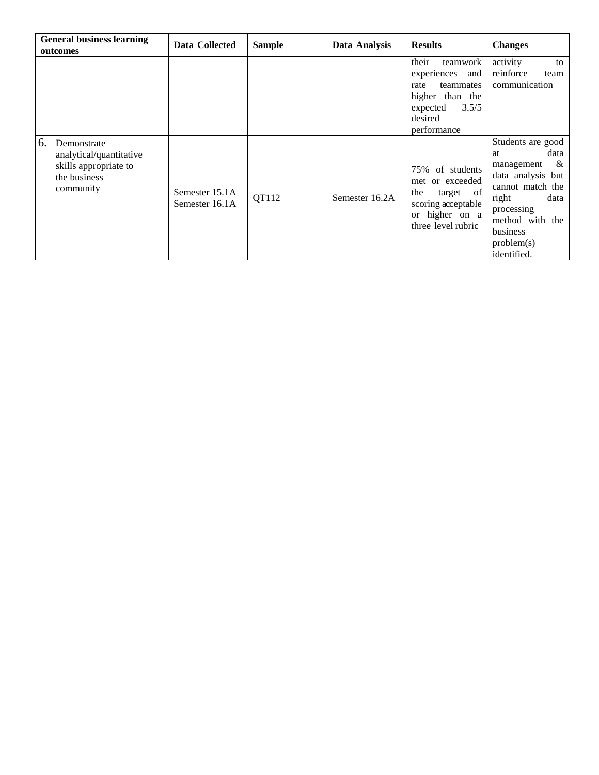| <b>General business learning</b><br>outcomes                                                       | Data Collected                   | <b>Sample</b> | Data Analysis  | <b>Results</b>                                                                                                                 | <b>Changes</b>                                                                                                                                                                         |
|----------------------------------------------------------------------------------------------------|----------------------------------|---------------|----------------|--------------------------------------------------------------------------------------------------------------------------------|----------------------------------------------------------------------------------------------------------------------------------------------------------------------------------------|
|                                                                                                    |                                  |               |                | their<br>teamwork<br>experiences<br>and<br>teammates<br>rate<br>higher than the<br>3.5/5<br>expected<br>desired<br>performance | activity<br>to<br>reinforce<br>team<br>communication                                                                                                                                   |
| 6.<br>Demonstrate<br>analytical/quantitative<br>skills appropriate to<br>the business<br>community | Semester 15.1A<br>Semester 16.1A | QT112         | Semester 16.2A | 75% of students<br>met or exceeded<br>the<br>of<br>target<br>scoring acceptable<br>or higher on a<br>three level rubric        | Students are good<br>data<br>at<br>&<br>management<br>data analysis but<br>cannot match the<br>data<br>right<br>processing<br>method with the<br>business<br>problem(s)<br>identified. |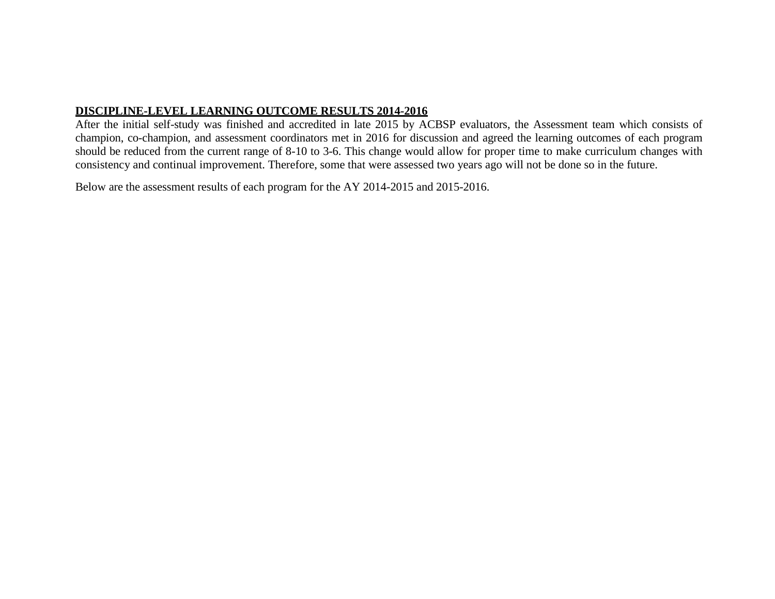#### **DISCIPLINE-LEVEL LEARNING OUTCOME RESULTS 2014-2016**

After the initial self-study was finished and accredited in late 2015 by ACBSP evaluators, the Assessment team which consists of champion, co-champion, and assessment coordinators met in 2016 for discussion and agreed the learning outcomes of each program should be reduced from the current range of 8-10 to 3-6. This change would allow for proper time to make curriculum changes with consistency and continual improvement. Therefore, some that were assessed two years ago will not be done so in the future.

Below are the assessment results of each program for the AY 2014-2015 and 2015-2016.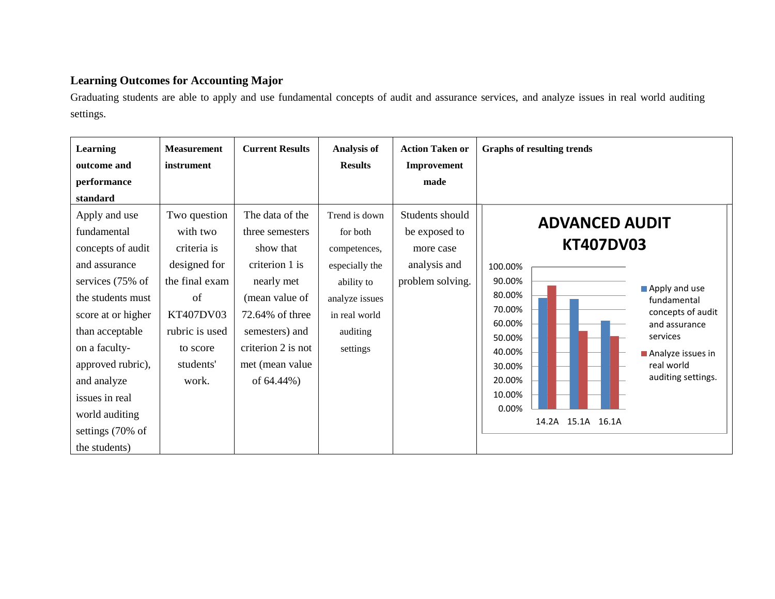#### **Learning Outcomes for Accounting Major**

Graduating students are able to apply and use fundamental concepts of audit and assurance services, and analyze issues in real world auditing settings.

| <b>Learning</b>                                                                                                                                                                                                                                                                    | <b>Measurement</b>                                                                                                                               | <b>Current Results</b>                                                                                                                                                                        | <b>Analysis of</b>                                                                                                                   | <b>Action Taken or</b>                                                            | <b>Graphs of resulting trends</b>                                                                                                                                                                                                                                                                                       |
|------------------------------------------------------------------------------------------------------------------------------------------------------------------------------------------------------------------------------------------------------------------------------------|--------------------------------------------------------------------------------------------------------------------------------------------------|-----------------------------------------------------------------------------------------------------------------------------------------------------------------------------------------------|--------------------------------------------------------------------------------------------------------------------------------------|-----------------------------------------------------------------------------------|-------------------------------------------------------------------------------------------------------------------------------------------------------------------------------------------------------------------------------------------------------------------------------------------------------------------------|
| outcome and<br>performance<br>standard                                                                                                                                                                                                                                             | instrument                                                                                                                                       |                                                                                                                                                                                               | <b>Results</b>                                                                                                                       | Improvement<br>made                                                               |                                                                                                                                                                                                                                                                                                                         |
| Apply and use<br>fundamental<br>concepts of audit<br>and assurance<br>services (75% of<br>the students must<br>score at or higher<br>than acceptable<br>on a faculty-<br>approved rubric),<br>and analyze<br>issues in real<br>world auditing<br>settings (70% of<br>the students) | Two question<br>with two<br>criteria is<br>designed for<br>the final exam<br>of<br>KT407DV03<br>rubric is used<br>to score<br>students'<br>work. | The data of the<br>three semesters<br>show that<br>criterion 1 is<br>nearly met<br>(mean value of<br>72.64% of three<br>semesters) and<br>criterion 2 is not<br>met (mean value<br>of 64.44%) | Trend is down<br>for both<br>competences,<br>especially the<br>ability to<br>analyze issues<br>in real world<br>auditing<br>settings | Students should<br>be exposed to<br>more case<br>analysis and<br>problem solving. | <b>ADVANCED AUDIT</b><br><b>KT407DV03</b><br>100.00%<br>90.00%<br>Apply and use<br>80.00%<br>fundamental<br>70.00%<br>concepts of audit<br>60.00%<br>and assurance<br>services<br>50.00%<br>40.00%<br>Analyze issues in<br>real world<br>30.00%<br>auditing settings.<br>20.00%<br>10.00%<br>0.00%<br>14.2A 15.1A 16.1A |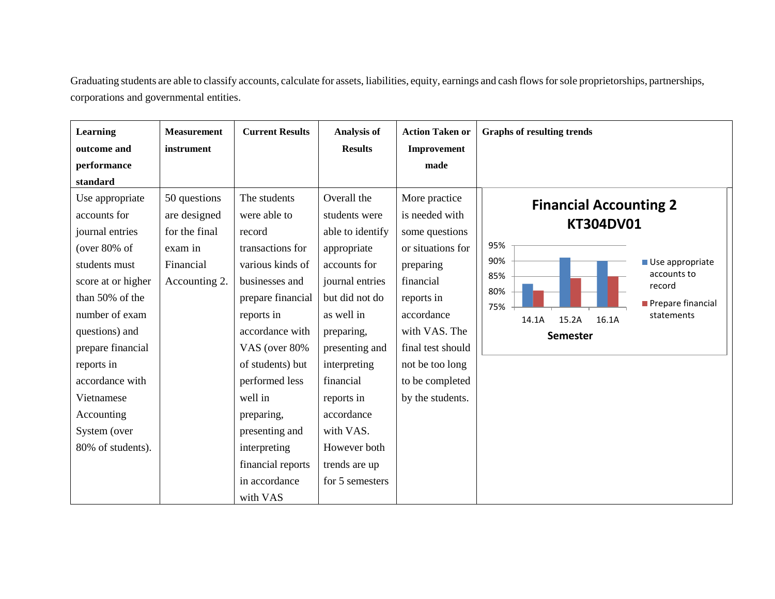Graduating students are able to classify accounts, calculate for assets, liabilities, equity, earnings and cash flows for sole proprietorships, partnerships, corporations and governmental entities.

| Learning           | <b>Measurement</b> | <b>Current Results</b> | <b>Analysis of</b> | <b>Action Taken or</b> | <b>Graphs of resulting trends</b>            |
|--------------------|--------------------|------------------------|--------------------|------------------------|----------------------------------------------|
| outcome and        | instrument         |                        | <b>Results</b>     | Improvement            |                                              |
| performance        |                    |                        |                    | made                   |                                              |
| standard           |                    |                        |                    |                        |                                              |
| Use appropriate    | 50 questions       | The students           | Overall the        | More practice          | <b>Financial Accounting 2</b>                |
| accounts for       | are designed       | were able to           | students were      | is needed with         |                                              |
| journal entries    | for the final      | record                 | able to identify   | some questions         | <b>KT304DV01</b>                             |
| (over $80\%$ of    | exam in            | transactions for       | appropriate        | or situations for      | 95%                                          |
| students must      | Financial          | various kinds of       | accounts for       | preparing              | 90%<br>Use appropriate                       |
| score at or higher | Accounting 2.      | businesses and         | journal entries    | financial              | accounts to<br>85%<br>record                 |
| than 50% of the    |                    | prepare financial      | but did not do     | reports in             | 80%<br>Prepare financial                     |
| number of exam     |                    | reports in             | as well in         | accordance             | 75%<br>statements<br>15.2A<br>16.1A<br>14.1A |
| questions) and     |                    | accordance with        | preparing,         | with VAS. The          | <b>Semester</b>                              |
| prepare financial  |                    | VAS (over 80%          | presenting and     | final test should      |                                              |
| reports in         |                    | of students) but       | interpreting       | not be too long        |                                              |
| accordance with    |                    | performed less         | financial          | to be completed        |                                              |
| Vietnamese         |                    | well in                | reports in         | by the students.       |                                              |
| Accounting         |                    | preparing,             | accordance         |                        |                                              |
| System (over       |                    | presenting and         | with VAS.          |                        |                                              |
| 80% of students).  |                    | interpreting           | However both       |                        |                                              |
|                    |                    | financial reports      | trends are up      |                        |                                              |
|                    |                    | in accordance          | for 5 semesters    |                        |                                              |
|                    |                    | with VAS               |                    |                        |                                              |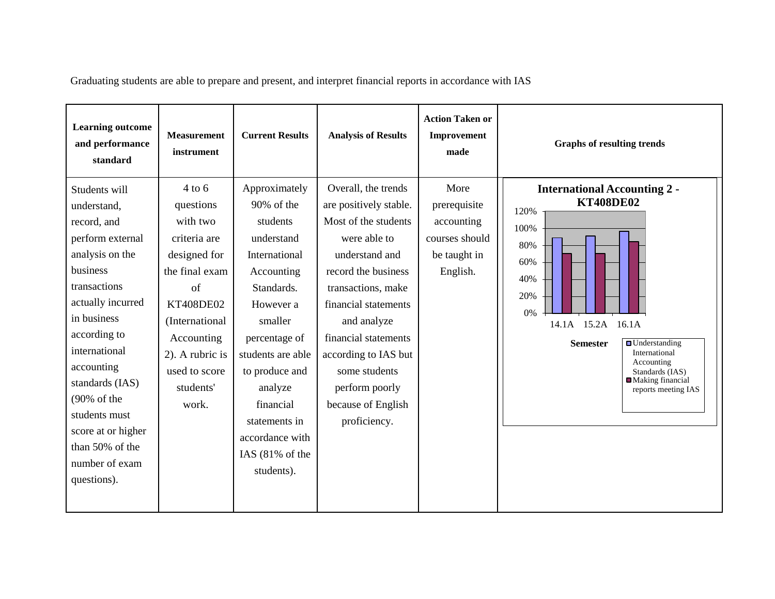| <b>Learning outcome</b><br>and performance<br>standard                                                                                                                                                                                                                                                                                     | <b>Measurement</b><br>instrument                                                                                                                                                                 | <b>Current Results</b>                                                                                                                                                                                                                                                                      | <b>Analysis of Results</b>                                                                                                                                                                                                                                                                                           | <b>Action Taken or</b><br>Improvement<br>made                                    | <b>Graphs of resulting trends</b>                                                                                                                                                                                                                                                |
|--------------------------------------------------------------------------------------------------------------------------------------------------------------------------------------------------------------------------------------------------------------------------------------------------------------------------------------------|--------------------------------------------------------------------------------------------------------------------------------------------------------------------------------------------------|---------------------------------------------------------------------------------------------------------------------------------------------------------------------------------------------------------------------------------------------------------------------------------------------|----------------------------------------------------------------------------------------------------------------------------------------------------------------------------------------------------------------------------------------------------------------------------------------------------------------------|----------------------------------------------------------------------------------|----------------------------------------------------------------------------------------------------------------------------------------------------------------------------------------------------------------------------------------------------------------------------------|
| Students will<br>understand,<br>record, and<br>perform external<br>analysis on the<br>business<br>transactions<br>actually incurred<br>in business<br>according to<br>international<br>accounting<br>standards (IAS)<br>$(90\% \text{ of the})$<br>students must<br>score at or higher<br>than 50% of the<br>number of exam<br>questions). | $4$ to 6<br>questions<br>with two<br>criteria are<br>designed for<br>the final exam<br>of<br>KT408DE02<br>(International<br>Accounting<br>2). A rubric is<br>used to score<br>students'<br>work. | Approximately<br>90% of the<br>students<br>understand<br>International<br>Accounting<br>Standards.<br>However a<br>smaller<br>percentage of<br>students are able<br>to produce and<br>analyze<br>financial<br>statements in<br>accordance with<br>IAS $(81\% \text{ of the})$<br>students). | Overall, the trends<br>are positively stable.<br>Most of the students<br>were able to<br>understand and<br>record the business<br>transactions, make<br>financial statements<br>and analyze<br>financial statements<br>according to IAS but<br>some students<br>perform poorly<br>because of English<br>proficiency. | More<br>prerequisite<br>accounting<br>courses should<br>be taught in<br>English. | <b>International Accounting 2 -</b><br><b>KT408DE02</b><br>120%<br>100%<br>80%<br>60%<br>40%<br>20%<br>0%<br>14.1A 15.2A 16.1A<br>$\blacksquare$ Understanding<br><b>Semester</b><br>International<br>Accounting<br>Standards (IAS)<br>■ Making financial<br>reports meeting IAS |

Graduating students are able to prepare and present, and interpret financial reports in accordance with IAS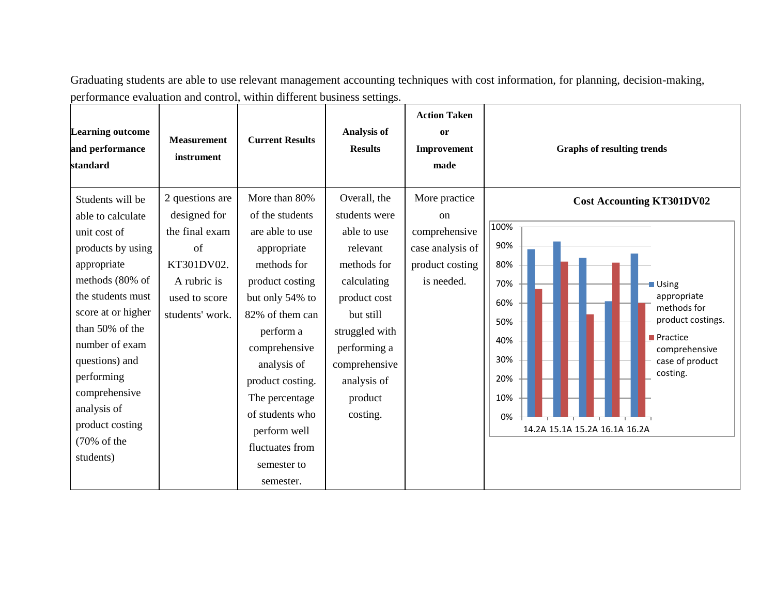Graduating students are able to use relevant management accounting techniques with cost information, for planning, decision-making, performance evaluation and control, within different business settings.

| <b>Learning outcome</b><br>and performance<br>standard                                                                                                                                                                                                                         | <b>Measurement</b><br>instrument                                                      | <b>Current Results</b>                                                                                                                                                                                                                                                      | <b>Analysis of</b><br><b>Results</b>                                                                                                                                        | <b>Action Taken</b><br>0r<br>Improvement<br>made                   | <b>Graphs of resulting trends</b>                                                                                                                                                                                                         |
|--------------------------------------------------------------------------------------------------------------------------------------------------------------------------------------------------------------------------------------------------------------------------------|---------------------------------------------------------------------------------------|-----------------------------------------------------------------------------------------------------------------------------------------------------------------------------------------------------------------------------------------------------------------------------|-----------------------------------------------------------------------------------------------------------------------------------------------------------------------------|--------------------------------------------------------------------|-------------------------------------------------------------------------------------------------------------------------------------------------------------------------------------------------------------------------------------------|
| Students will be<br>able to calculate                                                                                                                                                                                                                                          | 2 questions are<br>designed for                                                       | More than 80%<br>of the students                                                                                                                                                                                                                                            | Overall, the<br>students were                                                                                                                                               | More practice<br><sub>on</sub>                                     | <b>Cost Accounting KT301DV02</b><br>100%                                                                                                                                                                                                  |
| unit cost of<br>products by using<br>appropriate<br>methods (80% of<br>the students must<br>score at or higher<br>than 50% of the<br>number of exam<br>questions) and<br>performing<br>comprehensive<br>analysis of<br>product costing<br>$(70\% \text{ of the})$<br>students) | the final exam<br>of<br>KT301DV02.<br>A rubric is<br>used to score<br>students' work. | are able to use<br>appropriate<br>methods for<br>product costing<br>but only 54% to<br>82% of them can<br>perform a<br>comprehensive<br>analysis of<br>product costing.<br>The percentage<br>of students who<br>perform well<br>fluctuates from<br>semester to<br>semester. | able to use<br>relevant<br>methods for<br>calculating<br>product cost<br>but still<br>struggled with<br>performing a<br>comprehensive<br>analysis of<br>product<br>costing. | comprehensive<br>case analysis of<br>product costing<br>is needed. | 90%<br>80%<br>70%<br>Using<br>appropriate<br>60%<br>methods for<br>product costings.<br>50%<br>$\blacksquare$ Practice<br>40%<br>comprehensive<br>30%<br>case of product<br>costing.<br>20%<br>10%<br>0%<br>14.2A 15.1A 15.2A 16.1A 16.2A |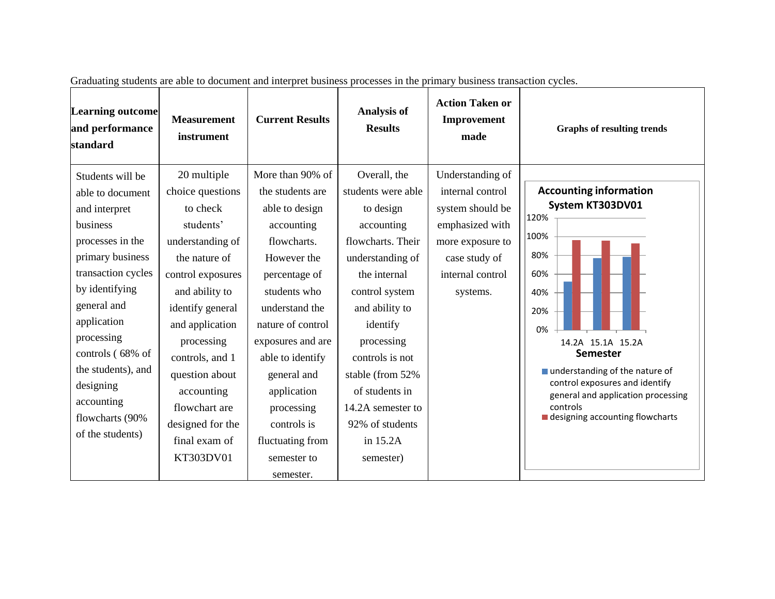| <b>Learning outcome</b><br>and performance<br>standard                                                                                                                                                                                                                                                    | <b>Measurement</b><br>instrument                                                                                                                                                                                                                                                                                | <b>Current Results</b>                                                                                                                                                                                                                                                                                                         | <b>Analysis of</b><br><b>Results</b>                                                                                                                                                                                                                                                                           | <b>Action Taken or</b><br>Improvement<br>made                                                                                                    | <b>Graphs of resulting trends</b>                                                                                                                                                                                                                                                                      |
|-----------------------------------------------------------------------------------------------------------------------------------------------------------------------------------------------------------------------------------------------------------------------------------------------------------|-----------------------------------------------------------------------------------------------------------------------------------------------------------------------------------------------------------------------------------------------------------------------------------------------------------------|--------------------------------------------------------------------------------------------------------------------------------------------------------------------------------------------------------------------------------------------------------------------------------------------------------------------------------|----------------------------------------------------------------------------------------------------------------------------------------------------------------------------------------------------------------------------------------------------------------------------------------------------------------|--------------------------------------------------------------------------------------------------------------------------------------------------|--------------------------------------------------------------------------------------------------------------------------------------------------------------------------------------------------------------------------------------------------------------------------------------------------------|
| Students will be<br>able to document<br>and interpret<br>business<br>processes in the<br>primary business<br>transaction cycles<br>by identifying<br>general and<br>application<br>processing<br>controls (68% of<br>the students), and<br>designing<br>accounting<br>flowcharts (90%<br>of the students) | 20 multiple<br>choice questions<br>to check<br>students'<br>understanding of<br>the nature of<br>control exposures<br>and ability to<br>identify general<br>and application<br>processing<br>controls, and 1<br>question about<br>accounting<br>flowchart are<br>designed for the<br>final exam of<br>KT303DV01 | More than 90% of<br>the students are<br>able to design<br>accounting<br>flowcharts.<br>However the<br>percentage of<br>students who<br>understand the<br>nature of control<br>exposures and are<br>able to identify<br>general and<br>application<br>processing<br>controls is<br>fluctuating from<br>semester to<br>semester. | Overall, the<br>students were able<br>to design<br>accounting<br>flowcharts. Their<br>understanding of<br>the internal<br>control system<br>and ability to<br>identify<br>processing<br>controls is not<br>stable (from 52%<br>of students in<br>14.2A semester to<br>92% of students<br>in 15.2A<br>semester) | Understanding of<br>internal control<br>system should be<br>emphasized with<br>more exposure to<br>case study of<br>internal control<br>systems. | <b>Accounting information</b><br>System KT303DV01<br>120%<br>100%<br>80%<br>60%<br>40%<br>20%<br>0%<br>14.2A 15.1A 15.2A<br><b>Semester</b><br>■ understanding of the nature of<br>control exposures and identify<br>general and application processing<br>controls<br>designing accounting flowcharts |

Graduating students are able to document and interpret business processes in the primary business transaction cycles.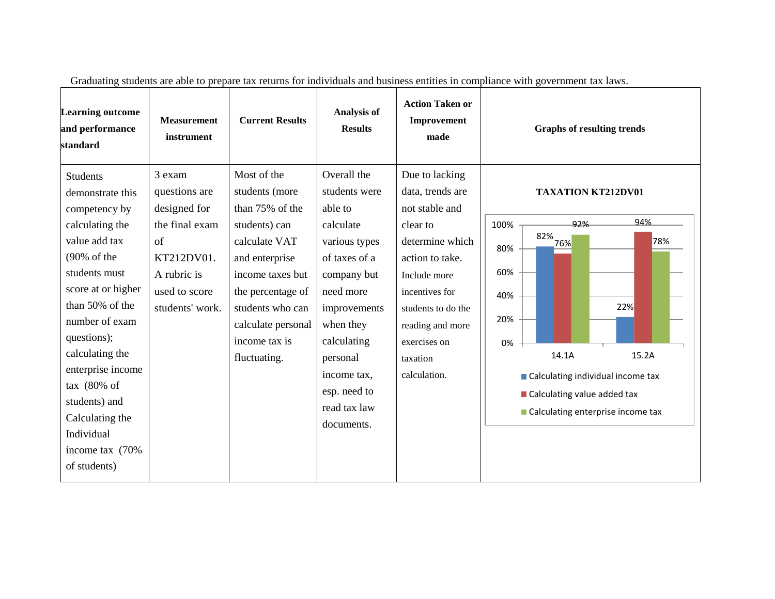| <b>Learning outcome</b><br>and performance<br>standard                                                                                                                                                                                                                                                                                                                  | <b>Measurement</b><br>instrument                                                                                                         | <b>Current Results</b>                                                                                                                                                                                                   | Analysis of<br><b>Results</b>                                                                                                                                                                                                           | <b>Action Taken or</b><br>Improvement<br>made                                                                                                                                                                                  | <b>Graphs of resulting trends</b>                                                                                                                                                                                                                          |
|-------------------------------------------------------------------------------------------------------------------------------------------------------------------------------------------------------------------------------------------------------------------------------------------------------------------------------------------------------------------------|------------------------------------------------------------------------------------------------------------------------------------------|--------------------------------------------------------------------------------------------------------------------------------------------------------------------------------------------------------------------------|-----------------------------------------------------------------------------------------------------------------------------------------------------------------------------------------------------------------------------------------|--------------------------------------------------------------------------------------------------------------------------------------------------------------------------------------------------------------------------------|------------------------------------------------------------------------------------------------------------------------------------------------------------------------------------------------------------------------------------------------------------|
| <b>Students</b><br>demonstrate this<br>competency by<br>calculating the<br>value add tax<br>$(90\% \text{ of the})$<br>students must<br>score at or higher<br>than 50% of the<br>number of exam<br>questions);<br>calculating the<br>enterprise income<br>tax $(80\% \text{ of }$<br>students) and<br>Calculating the<br>Individual<br>income tax (70%)<br>of students) | 3 exam<br>questions are<br>designed for<br>the final exam<br>$\sigma$ f<br>KT212DV01.<br>A rubric is<br>used to score<br>students' work. | Most of the<br>students (more<br>than 75% of the<br>students) can<br>calculate VAT<br>and enterprise<br>income taxes but<br>the percentage of<br>students who can<br>calculate personal<br>income tax is<br>fluctuating. | Overall the<br>students were<br>able to<br>calculate<br>various types<br>of taxes of a<br>company but<br>need more<br>improvements<br>when they<br>calculating<br>personal<br>income tax,<br>esp. need to<br>read tax law<br>documents. | Due to lacking<br>data, trends are<br>not stable and<br>clear to<br>determine which<br>action to take.<br>Include more<br>incentives for<br>students to do the<br>reading and more<br>exercises on<br>taxation<br>calculation. | <b>TAXATION KT212DV01</b><br>94%<br>92%<br>100%<br>$82\%$ <sub>-76%</sub><br>78%<br>80%<br>60%<br>40%<br>22%<br>20%<br>0%<br>14.1A<br>15.2A<br>■ Calculating individual income tax<br>■ Calculating value added tax<br>■ Calculating enterprise income tax |

Graduating students are able to prepare tax returns for individuals and business entities in compliance with government tax laws.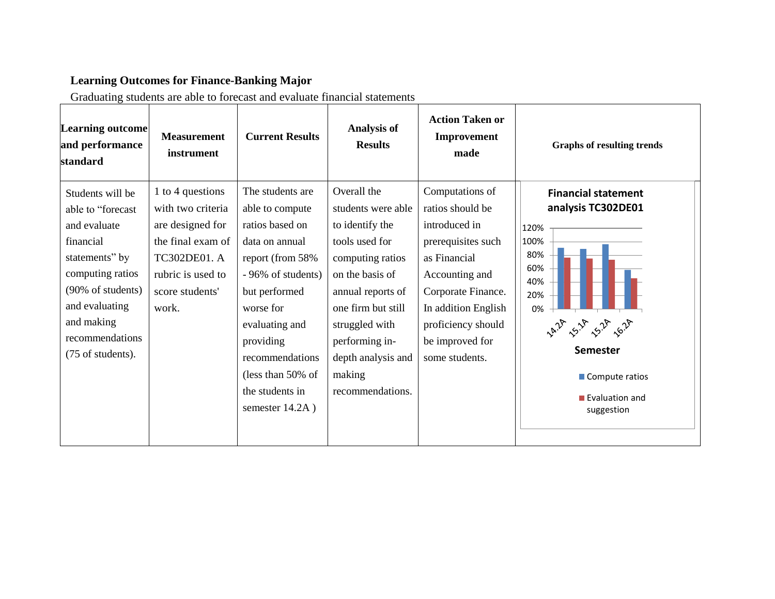# **Learning Outcomes for Finance-Banking Major**

Graduating students are able to forecast and evaluate financial statements

| <b>Learning outcome</b><br>and performance<br>standard                                                                                                                                                | <b>Measurement</b><br>instrument                                                                                                                | <b>Current Results</b>                                                                                                                                                                                                                                           | <b>Analysis of</b><br><b>Results</b>                                                                                                                                                                                                             | <b>Action Taken or</b><br>Improvement<br>made                                                                                                                                                                        | <b>Graphs of resulting trends</b>                                                                                                                                         |
|-------------------------------------------------------------------------------------------------------------------------------------------------------------------------------------------------------|-------------------------------------------------------------------------------------------------------------------------------------------------|------------------------------------------------------------------------------------------------------------------------------------------------------------------------------------------------------------------------------------------------------------------|--------------------------------------------------------------------------------------------------------------------------------------------------------------------------------------------------------------------------------------------------|----------------------------------------------------------------------------------------------------------------------------------------------------------------------------------------------------------------------|---------------------------------------------------------------------------------------------------------------------------------------------------------------------------|
| Students will be<br>able to "forecast<br>and evaluate<br>financial<br>statements" by<br>computing ratios<br>(90% of students)<br>and evaluating<br>and making<br>recommendations<br>(75 of students). | 1 to 4 questions<br>with two criteria<br>are designed for<br>the final exam of<br>TC302DE01. A<br>rubric is used to<br>score students'<br>work. | The students are<br>able to compute<br>ratios based on<br>data on annual<br>report (from 58%<br>- 96% of students)<br>but performed<br>worse for<br>evaluating and<br>providing<br>recommendations<br>(less than $50\%$ of<br>the students in<br>semester 14.2A) | Overall the<br>students were able<br>to identify the<br>tools used for<br>computing ratios<br>on the basis of<br>annual reports of<br>one firm but still<br>struggled with<br>performing in-<br>depth analysis and<br>making<br>recommendations. | Computations of<br>ratios should be<br>introduced in<br>prerequisites such<br>as Financial<br>Accounting and<br>Corporate Finance.<br>In addition English<br>proficiency should<br>be improved for<br>some students. | <b>Financial statement</b><br>analysis TC302DE01<br>120%<br>100%<br>80%<br>60%<br>40%<br>20%<br>0%<br><b>Semester</b><br>■ Compute ratios<br>Evaluation and<br>suggestion |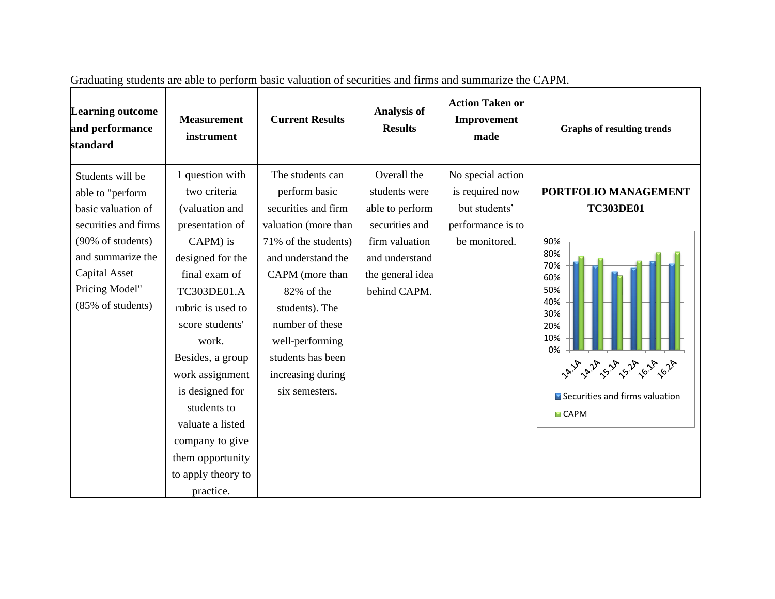| <b>Learning outcome</b><br>and performance<br>standard                                                                                                                               | <b>Measurement</b><br>instrument                                                                                                                                                                                                                                                                                                                             | <b>Current Results</b>                                                                                                                                                                                                                                                              | <b>Analysis of</b><br><b>Results</b>                                                                                                      | <b>Action Taken or</b><br>Improvement<br>made                                               | <b>Graphs of resulting trends</b>                                                                                                                                                                     |
|--------------------------------------------------------------------------------------------------------------------------------------------------------------------------------------|--------------------------------------------------------------------------------------------------------------------------------------------------------------------------------------------------------------------------------------------------------------------------------------------------------------------------------------------------------------|-------------------------------------------------------------------------------------------------------------------------------------------------------------------------------------------------------------------------------------------------------------------------------------|-------------------------------------------------------------------------------------------------------------------------------------------|---------------------------------------------------------------------------------------------|-------------------------------------------------------------------------------------------------------------------------------------------------------------------------------------------------------|
| Students will be<br>able to "perform<br>basic valuation of<br>securities and firms<br>(90% of students)<br>and summarize the<br>Capital Asset<br>Pricing Model"<br>(85% of students) | 1 question with<br>two criteria<br>(valuation and<br>presentation of<br>CAPM) is<br>designed for the<br>final exam of<br>TC303DE01.A<br>rubric is used to<br>score students'<br>work.<br>Besides, a group<br>work assignment<br>is designed for<br>students to<br>valuate a listed<br>company to give<br>them opportunity<br>to apply theory to<br>practice. | The students can<br>perform basic<br>securities and firm<br>valuation (more than<br>71% of the students)<br>and understand the<br>CAPM (more than<br>82% of the<br>students). The<br>number of these<br>well-performing<br>students has been<br>increasing during<br>six semesters. | Overall the<br>students were<br>able to perform<br>securities and<br>firm valuation<br>and understand<br>the general idea<br>behind CAPM. | No special action<br>is required now<br>but students'<br>performance is to<br>be monitored. | PORTFOLIO MANAGEMENT<br><b>TC303DE01</b><br>90%<br>80%<br>70%<br>60%<br>50%<br>40%<br>30%<br>20%<br>10%<br>0%<br>14.14 4.24 5.14 6.14 6.24<br>■ Securities and firms valuation<br>$\blacksquare$ CAPM |

Graduating students are able to perform basic valuation of securities and firms and summarize the CAPM.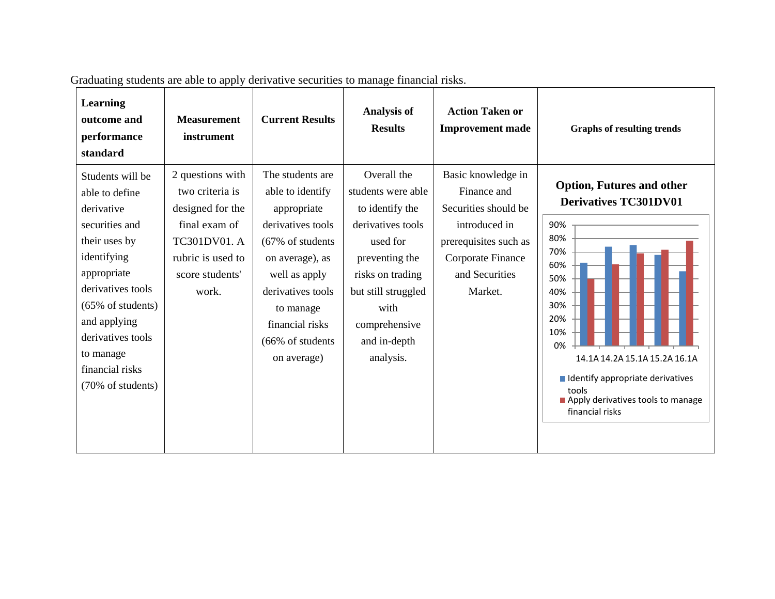| <b>Learning</b><br>outcome and<br>performance<br>standard                                                                                                                                                                                                        | <b>Measurement</b><br>instrument                                                                                                          | <b>Current Results</b>                                                                                                                                                                                                                | <b>Analysis of</b><br><b>Results</b>                                                                                                                                                                     | <b>Action Taken or</b><br><b>Improvement made</b>                                                                                                     | <b>Graphs of resulting trends</b>                                                                                                                                                                                                                                             |
|------------------------------------------------------------------------------------------------------------------------------------------------------------------------------------------------------------------------------------------------------------------|-------------------------------------------------------------------------------------------------------------------------------------------|---------------------------------------------------------------------------------------------------------------------------------------------------------------------------------------------------------------------------------------|----------------------------------------------------------------------------------------------------------------------------------------------------------------------------------------------------------|-------------------------------------------------------------------------------------------------------------------------------------------------------|-------------------------------------------------------------------------------------------------------------------------------------------------------------------------------------------------------------------------------------------------------------------------------|
| Students will be<br>able to define<br>derivative<br>securities and<br>their uses by<br>identifying<br>appropriate<br>derivatives tools<br>$(65\% \text{ of students})$<br>and applying<br>derivatives tools<br>to manage<br>financial risks<br>(70% of students) | 2 questions with<br>two criteria is<br>designed for the<br>final exam of<br>TC301DV01. A<br>rubric is used to<br>score students'<br>work. | The students are<br>able to identify<br>appropriate<br>derivatives tools<br>$(67\% \text{ of students})$<br>on average), as<br>well as apply<br>derivatives tools<br>to manage<br>financial risks<br>(66% of students)<br>on average) | Overall the<br>students were able<br>to identify the<br>derivatives tools<br>used for<br>preventing the<br>risks on trading<br>but still struggled<br>with<br>comprehensive<br>and in-depth<br>analysis. | Basic knowledge in<br>Finance and<br>Securities should be<br>introduced in<br>prerequisites such as<br>Corporate Finance<br>and Securities<br>Market. | <b>Option, Futures and other</b><br><b>Derivatives TC301DV01</b><br>90%<br>80%<br>70%<br>60%<br>50%<br>40%<br>30%<br>20%<br>10%<br>0%<br>14.1A 14.2A 15.1A 15.2A 16.1A<br>I Identify appropriate derivatives<br>tools<br>Apply derivatives tools to manage<br>financial risks |

Graduating students are able to apply derivative securities to manage financial risks.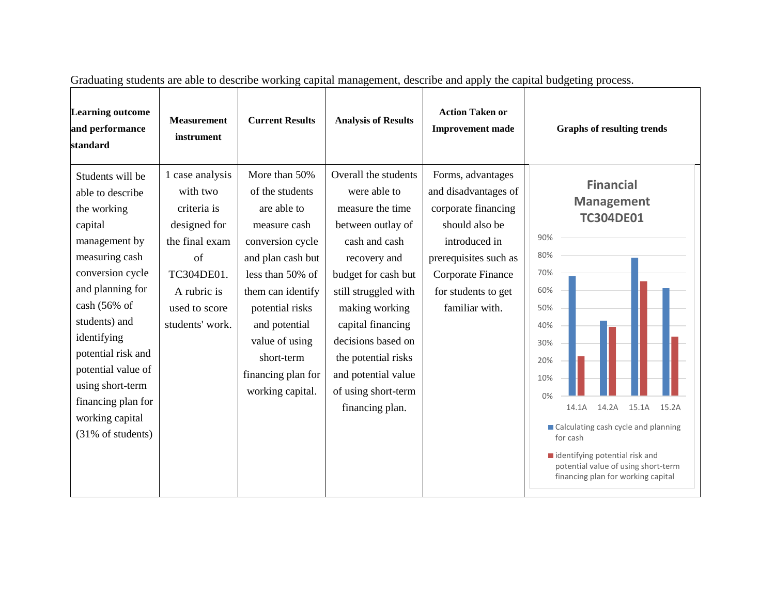| <b>Learning outcome</b><br>and performance<br>standard                                                                                                                                                                                                                                                                              | <b>Measurement</b><br>instrument                                                                                                                    | <b>Current Results</b>                                                                                                                                                                                                                                          | <b>Analysis of Results</b>                                                                                                                                                                                                                                                                                         | <b>Action Taken or</b><br><b>Improvement</b> made                                                                                                                                          | <b>Graphs of resulting trends</b>                                                                                                                                                                                                                                                                                                      |
|-------------------------------------------------------------------------------------------------------------------------------------------------------------------------------------------------------------------------------------------------------------------------------------------------------------------------------------|-----------------------------------------------------------------------------------------------------------------------------------------------------|-----------------------------------------------------------------------------------------------------------------------------------------------------------------------------------------------------------------------------------------------------------------|--------------------------------------------------------------------------------------------------------------------------------------------------------------------------------------------------------------------------------------------------------------------------------------------------------------------|--------------------------------------------------------------------------------------------------------------------------------------------------------------------------------------------|----------------------------------------------------------------------------------------------------------------------------------------------------------------------------------------------------------------------------------------------------------------------------------------------------------------------------------------|
| Students will be<br>able to describe<br>the working<br>capital<br>management by<br>measuring cash<br>conversion cycle<br>and planning for<br>$\cosh(56\% \text{ of }$<br>students) and<br>identifying<br>potential risk and<br>potential value of<br>using short-term<br>financing plan for<br>working capital<br>(31% of students) | 1 case analysis<br>with two<br>criteria is<br>designed for<br>the final exam<br>of<br>TC304DE01.<br>A rubric is<br>used to score<br>students' work. | More than 50%<br>of the students<br>are able to<br>measure cash<br>conversion cycle<br>and plan cash but<br>less than 50% of<br>them can identify<br>potential risks<br>and potential<br>value of using<br>short-term<br>financing plan for<br>working capital. | Overall the students<br>were able to<br>measure the time<br>between outlay of<br>cash and cash<br>recovery and<br>budget for cash but<br>still struggled with<br>making working<br>capital financing<br>decisions based on<br>the potential risks<br>and potential value<br>of using short-term<br>financing plan. | Forms, advantages<br>and disadvantages of<br>corporate financing<br>should also be<br>introduced in<br>prerequisites such as<br>Corporate Finance<br>for students to get<br>familiar with. | <b>Financial</b><br><b>Management</b><br><b>TC304DE01</b><br>90%<br>80%<br>70%<br>60%<br>50%<br>40%<br>30%<br>20%<br>10%<br>0%<br>14.1A<br>14.2A<br>15.1A<br>15.2A<br>■ Calculating cash cycle and planning<br>for cash<br>identifying potential risk and<br>potential value of using short-term<br>financing plan for working capital |

Graduating students are able to describe working capital management, describe and apply the capital budgeting process.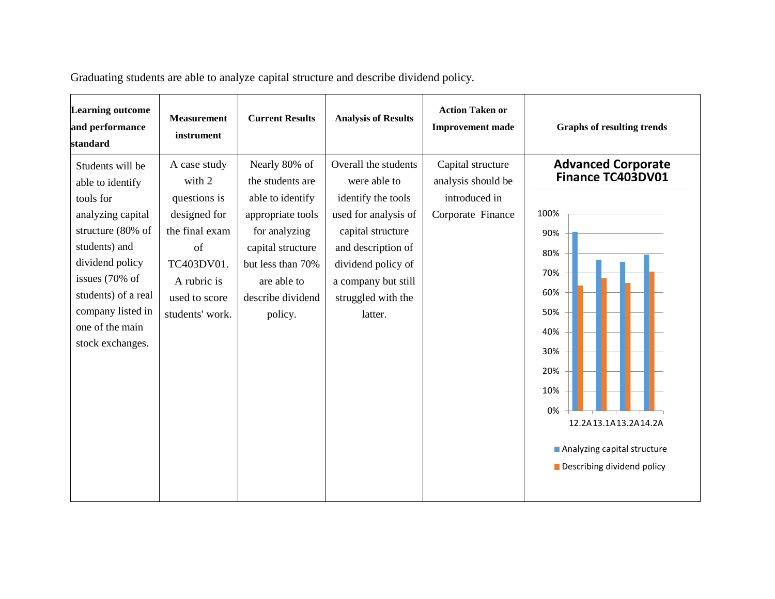| <b>Learning outcome</b><br>and performance<br>standard                                                                                                                                                                               | <b>Measurement</b><br>instrument                                                                                                                | <b>Current Results</b>                                                                                                                                                               | <b>Analysis of Results</b>                                                                                                                                                                                  | <b>Action Taken or</b><br><b>Improvement</b> made                             | <b>Graphs of resulting trends</b>                                                                                                                                                                                |
|--------------------------------------------------------------------------------------------------------------------------------------------------------------------------------------------------------------------------------------|-------------------------------------------------------------------------------------------------------------------------------------------------|--------------------------------------------------------------------------------------------------------------------------------------------------------------------------------------|-------------------------------------------------------------------------------------------------------------------------------------------------------------------------------------------------------------|-------------------------------------------------------------------------------|------------------------------------------------------------------------------------------------------------------------------------------------------------------------------------------------------------------|
| Students will be<br>able to identify<br>tools for<br>analyzing capital<br>structure (80% of<br>students) and<br>dividend policy<br>issues (70% of<br>students) of a real<br>company listed in<br>one of the main<br>stock exchanges. | A case study<br>with 2<br>questions is<br>designed for<br>the final exam<br>of<br>TC403DV01.<br>A rubric is<br>used to score<br>students' work. | Nearly 80% of<br>the students are<br>able to identify<br>appropriate tools<br>for analyzing<br>capital structure<br>but less than 70%<br>are able to<br>describe dividend<br>policy. | Overall the students<br>were able to<br>identify the tools<br>used for analysis of<br>capital structure<br>and description of<br>dividend policy of<br>a company but still<br>struggled with the<br>latter. | Capital structure<br>analysis should be<br>introduced in<br>Corporate Finance | <b>Advanced Corporate</b><br>Finance TC403DV01<br>100%<br>90%<br>80%<br>70%<br>60%<br>50%<br>40%<br>30%<br>20%<br>10%<br>0%<br>12.2A13.1A13.2A14.2A<br>Analyzing capital structure<br>Describing dividend policy |

Graduating students are able to analyze capital structure and describe dividend policy.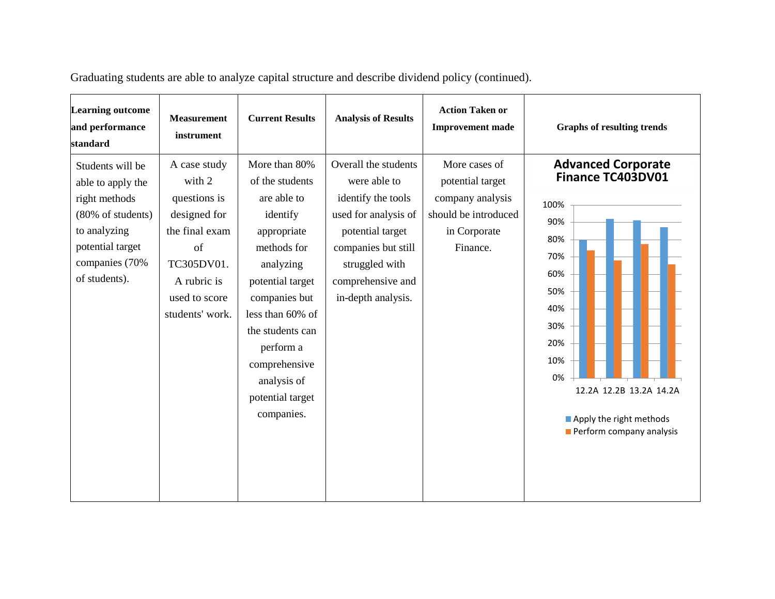| <b>Learning outcome</b><br>and performance<br>standard                                                                                             | <b>Measurement</b><br>instrument                                                                                                                | <b>Current Results</b>                                                                                                                                                                                                                                             | <b>Analysis of Results</b>                                                                                                                                                                 | <b>Action Taken or</b><br><b>Improvement</b> made                                                         | <b>Graphs of resulting trends</b>                                                                                                                                                                             |
|----------------------------------------------------------------------------------------------------------------------------------------------------|-------------------------------------------------------------------------------------------------------------------------------------------------|--------------------------------------------------------------------------------------------------------------------------------------------------------------------------------------------------------------------------------------------------------------------|--------------------------------------------------------------------------------------------------------------------------------------------------------------------------------------------|-----------------------------------------------------------------------------------------------------------|---------------------------------------------------------------------------------------------------------------------------------------------------------------------------------------------------------------|
| Students will be<br>able to apply the<br>right methods<br>(80% of students)<br>to analyzing<br>potential target<br>companies (70%<br>of students). | A case study<br>with 2<br>questions is<br>designed for<br>the final exam<br>of<br>TC305DV01.<br>A rubric is<br>used to score<br>students' work. | More than 80%<br>of the students<br>are able to<br>identify<br>appropriate<br>methods for<br>analyzing<br>potential target<br>companies but<br>less than 60% of<br>the students can<br>perform a<br>comprehensive<br>analysis of<br>potential target<br>companies. | Overall the students<br>were able to<br>identify the tools<br>used for analysis of<br>potential target<br>companies but still<br>struggled with<br>comprehensive and<br>in-depth analysis. | More cases of<br>potential target<br>company analysis<br>should be introduced<br>in Corporate<br>Finance. | <b>Advanced Corporate</b><br>Finance TC403DV01<br>100%<br>90%<br>80%<br>70%<br>60%<br>50%<br>40%<br>30%<br>20%<br>10%<br>0%<br>12.2A 12.2B 13.2A 14.2A<br>Apply the right methods<br>Perform company analysis |

Graduating students are able to analyze capital structure and describe dividend policy (continued).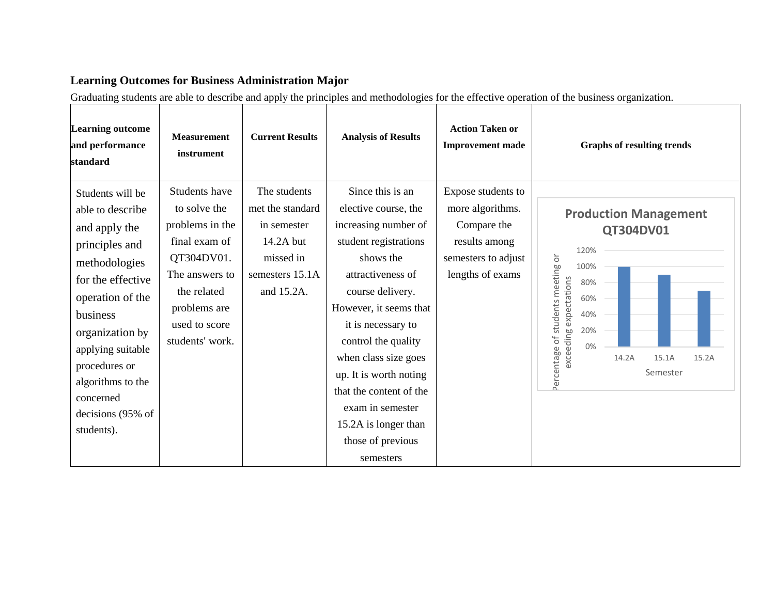#### **Learning Outcomes for Business Administration Major**

Graduating students are able to describe and apply the principles and methodologies for the effective operation of the business organization.

| <b>Learning outcome</b><br>and performance<br>standard                                                                                                                                                                                                                      | <b>Measurement</b><br>instrument                                                                                                                                     | <b>Current Results</b>                                                                                     | <b>Analysis of Results</b>                                                                                                                                                                                                                                                                                                                                                        | <b>Action Taken or</b><br><b>Improvement</b> made                                                                 | <b>Graphs of resulting trends</b>                                                                                                                                                                 |
|-----------------------------------------------------------------------------------------------------------------------------------------------------------------------------------------------------------------------------------------------------------------------------|----------------------------------------------------------------------------------------------------------------------------------------------------------------------|------------------------------------------------------------------------------------------------------------|-----------------------------------------------------------------------------------------------------------------------------------------------------------------------------------------------------------------------------------------------------------------------------------------------------------------------------------------------------------------------------------|-------------------------------------------------------------------------------------------------------------------|---------------------------------------------------------------------------------------------------------------------------------------------------------------------------------------------------|
| Students will be<br>able to describe<br>and apply the<br>principles and<br>methodologies<br>for the effective<br>operation of the<br>business<br>organization by<br>applying suitable<br>procedures or<br>algorithms to the<br>concerned<br>decisions (95% of<br>students). | Students have<br>to solve the<br>problems in the<br>final exam of<br>QT304DV01.<br>The answers to<br>the related<br>problems are<br>used to score<br>students' work. | The students<br>met the standard<br>in semester<br>14.2A but<br>missed in<br>semesters 15.1A<br>and 15.2A. | Since this is an<br>elective course, the<br>increasing number of<br>student registrations<br>shows the<br>attractiveness of<br>course delivery.<br>However, it seems that<br>it is necessary to<br>control the quality<br>when class size goes<br>up. It is worth noting<br>that the content of the<br>exam in semester<br>15.2A is longer than<br>those of previous<br>semesters | Expose students to<br>more algorithms.<br>Compare the<br>results among<br>semesters to adjust<br>lengths of exams | <b>Production Management</b><br>QT304DV01<br>120%<br>Percentage of students meeting or<br>100%<br>exceeding expectations<br>80%<br>60%<br>40%<br>20%<br>0%<br>14.2A<br>15.1A<br>15.2A<br>Semester |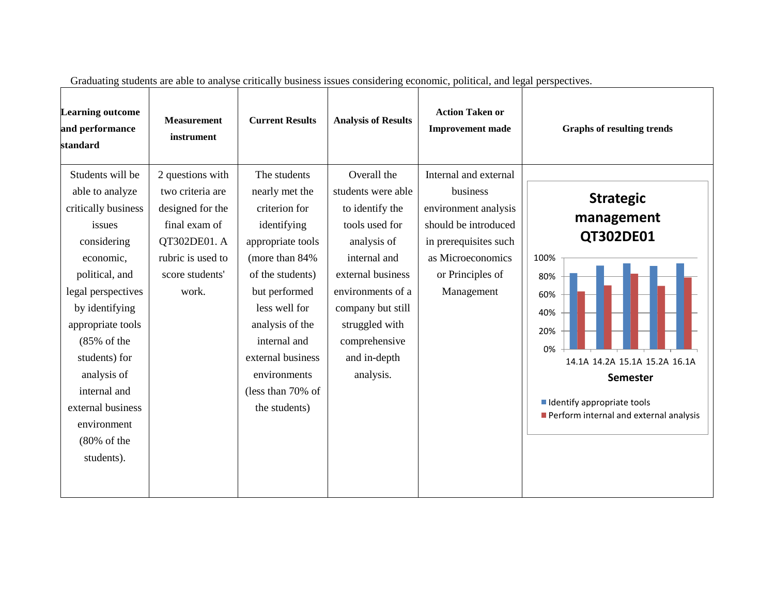| <b>Learning outcome</b><br>and performance<br>standard                                                                                                                                                                                                                                                                        | <b>Measurement</b><br>instrument                                                                                                           | <b>Current Results</b>                                                                                                                                                                                                                                                     | <b>Analysis of Results</b>                                                                                                                                                                                                           | <b>Action Taken or</b><br><b>Improvement</b> made                                                                                                                 | <b>Graphs of resulting trends</b>                                                                                                                                                                                   |
|-------------------------------------------------------------------------------------------------------------------------------------------------------------------------------------------------------------------------------------------------------------------------------------------------------------------------------|--------------------------------------------------------------------------------------------------------------------------------------------|----------------------------------------------------------------------------------------------------------------------------------------------------------------------------------------------------------------------------------------------------------------------------|--------------------------------------------------------------------------------------------------------------------------------------------------------------------------------------------------------------------------------------|-------------------------------------------------------------------------------------------------------------------------------------------------------------------|---------------------------------------------------------------------------------------------------------------------------------------------------------------------------------------------------------------------|
| Students will be<br>able to analyze<br>critically business<br>issues<br>considering<br>economic,<br>political, and<br>legal perspectives<br>by identifying<br>appropriate tools<br>$(85%$ of the<br>students) for<br>analysis of<br>internal and<br>external business<br>environment<br>$(80\% \text{ of the})$<br>students). | 2 questions with<br>two criteria are<br>designed for the<br>final exam of<br>QT302DE01. A<br>rubric is used to<br>score students'<br>work. | The students<br>nearly met the<br>criterion for<br>identifying<br>appropriate tools<br>(more than 84%)<br>of the students)<br>but performed<br>less well for<br>analysis of the<br>internal and<br>external business<br>environments<br>(less than 70% of<br>the students) | Overall the<br>students were able<br>to identify the<br>tools used for<br>analysis of<br>internal and<br>external business<br>environments of a<br>company but still<br>struggled with<br>comprehensive<br>and in-depth<br>analysis. | Internal and external<br>business<br>environment analysis<br>should be introduced<br>in prerequisites such<br>as Microeconomics<br>or Principles of<br>Management | <b>Strategic</b><br>management<br>QT302DE01<br>100%<br>80%<br>60%<br>40%<br>20%<br>0%<br>14.1A 14.2A 15.1A 15.2A 16.1A<br><b>Semester</b><br>I Identify appropriate tools<br>Perform internal and external analysis |

Graduating students are able to analyse critically business issues considering economic, political, and legal perspectives.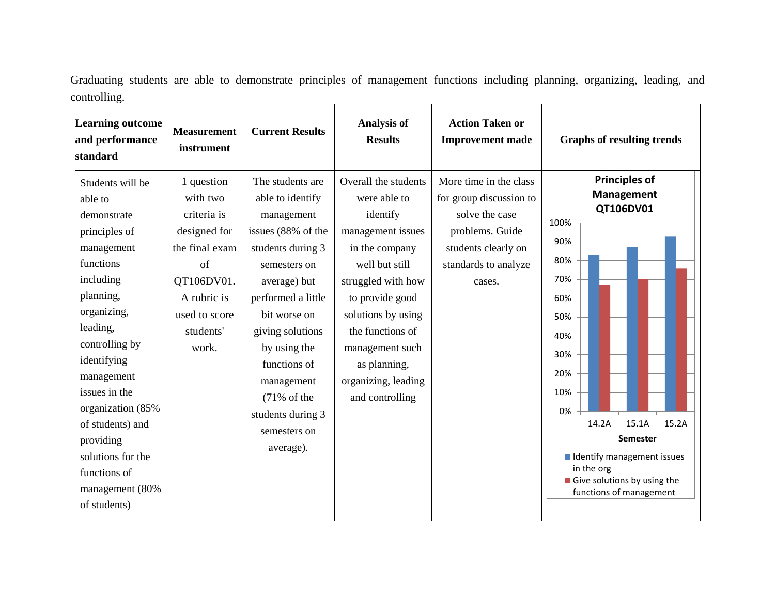Graduating students are able to demonstrate principles of management functions including planning, organizing, leading, and controlling. ,我们也不会有什么。""我们的人,我们也不会有什么?""我们的人,我们也不会有什么?""我们的人,我们也不会有什么?""我们的人,我们也不会有什么?""我们的人

| <b>Learning outcome</b><br>and performance<br>standard                                                                                                                                                                                                                                                                                    | <b>Measurement</b><br>instrument                                                                                                                          | <b>Current Results</b>                                                                                                                                                                                                                                                                                             | <b>Analysis of</b><br><b>Results</b>                                                                                                                                                                                                                                      | <b>Action Taken or</b><br><b>Improvement made</b>                                                                                               | <b>Graphs of resulting trends</b>                                                                                                                                                                                                                                                         |
|-------------------------------------------------------------------------------------------------------------------------------------------------------------------------------------------------------------------------------------------------------------------------------------------------------------------------------------------|-----------------------------------------------------------------------------------------------------------------------------------------------------------|--------------------------------------------------------------------------------------------------------------------------------------------------------------------------------------------------------------------------------------------------------------------------------------------------------------------|---------------------------------------------------------------------------------------------------------------------------------------------------------------------------------------------------------------------------------------------------------------------------|-------------------------------------------------------------------------------------------------------------------------------------------------|-------------------------------------------------------------------------------------------------------------------------------------------------------------------------------------------------------------------------------------------------------------------------------------------|
| Students will be<br>able to<br>demonstrate<br>principles of<br>management<br>functions<br>including<br>planning,<br>organizing,<br>leading,<br>controlling by<br>identifying<br>management<br>issues in the<br>organization (85%<br>of students) and<br>providing<br>solutions for the<br>functions of<br>management (80%<br>of students) | 1 question<br>with two<br>criteria is<br>designed for<br>the final exam<br>$\sigma$ f<br>QT106DV01.<br>A rubric is<br>used to score<br>students'<br>work. | The students are<br>able to identify<br>management<br>issues (88% of the<br>students during 3<br>semesters on<br>average) but<br>performed a little<br>bit worse on<br>giving solutions<br>by using the<br>functions of<br>management<br>$(71\% \text{ of the})$<br>students during 3<br>semesters on<br>average). | Overall the students<br>were able to<br>identify<br>management issues<br>in the company<br>well but still<br>struggled with how<br>to provide good<br>solutions by using<br>the functions of<br>management such<br>as planning,<br>organizing, leading<br>and controlling | More time in the class<br>for group discussion to<br>solve the case<br>problems. Guide<br>students clearly on<br>standards to analyze<br>cases. | <b>Principles of</b><br><b>Management</b><br>QT106DV01<br>100%<br>90%<br>80%<br>70%<br>60%<br>50%<br>40%<br>30%<br>20%<br>10%<br>0%<br>14.2A<br>15.1A<br>15.2A<br><b>Semester</b><br>I Identify management issues<br>in the org<br>Give solutions by using the<br>functions of management |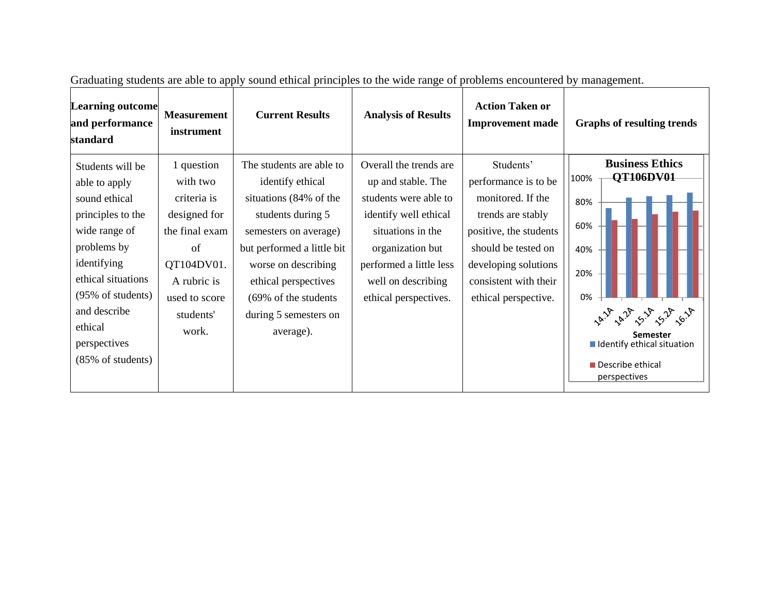| Overall the trends are<br>Students'<br>The students are able to<br>1 question<br>Students will be<br>100%<br>performance is to be<br>with two<br>identify ethical<br>up and stable. The<br>able to apply<br>monitored. If the<br>situations (84% of the<br>students were able to<br>sound ethical<br>criteria is<br>80%<br>principles to the<br>designed for<br>students during 5<br>identify well ethical<br>trends are stably<br>60%<br>wide range of<br>positive, the students<br>the final exam<br>situations in the<br>semesters on average)<br>problems by<br>but performed a little bit<br>should be tested on<br>organization but<br>of<br>40%<br>identifying<br>QT104DV01.<br>developing solutions<br>worse on describing<br>performed a little less<br>20% | <b>Learning outcome</b><br>and performance<br>standard | <b>Graphs of resulting trends</b>                                                       | <b>Action Taken or</b><br><b>Improvement made</b> | <b>Measurement</b><br><b>Current Results</b><br>instrument |  |
|----------------------------------------------------------------------------------------------------------------------------------------------------------------------------------------------------------------------------------------------------------------------------------------------------------------------------------------------------------------------------------------------------------------------------------------------------------------------------------------------------------------------------------------------------------------------------------------------------------------------------------------------------------------------------------------------------------------------------------------------------------------------|--------------------------------------------------------|-----------------------------------------------------------------------------------------|---------------------------------------------------|------------------------------------------------------------|--|
| A rubric is<br>well on describing<br>(95% of students)<br>0%<br>used to score<br>(69% of the students)<br>ethical perspectives.<br>ethical perspective.<br>and describe<br>students'<br>during 5 semesters on<br>ethical<br>work.<br>average).<br><b>Semester</b><br>perspectives<br>(85% of students)<br>Describe ethical<br>perspectives                                                                                                                                                                                                                                                                                                                                                                                                                           | ethical situations                                     | <b>Business Ethics</b><br>QT106DV01<br>$\sqrt{\circ}$ .<br>I Identify ethical situation | consistent with their                             | ethical perspectives                                       |  |

Graduating students are able to apply sound ethical principles to the wide range of problems encountered by management.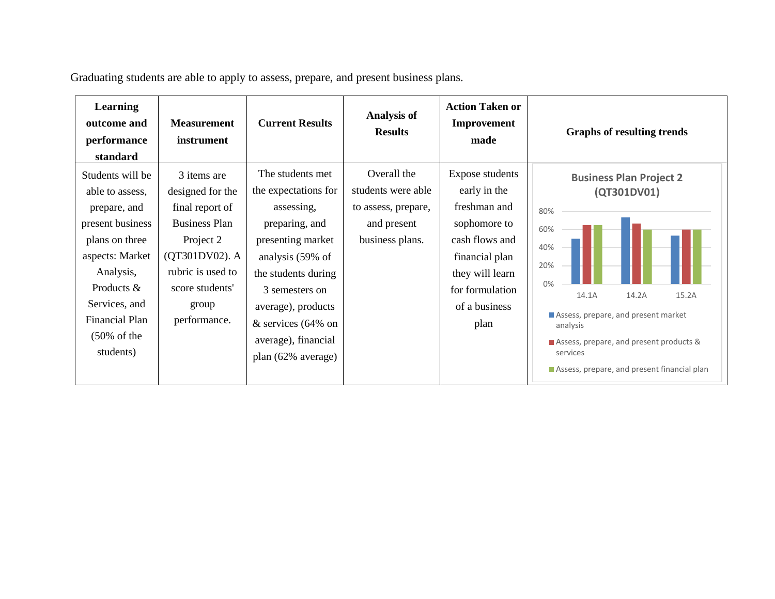Graduating students are able to apply to assess, prepare, and present business plans.

| <b>Learning</b><br>outcome and<br>performance<br>standard                                                                                                                                                                   | <b>Measurement</b><br>instrument                                                                                                                                           | <b>Current Results</b>                                                                                                                                                                                                                                 | <b>Analysis of</b><br><b>Results</b>                                                       | <b>Action Taken or</b><br>Improvement<br>made                                                                                                                             | <b>Graphs of resulting trends</b>                                                                                                                                                                                                                                   |
|-----------------------------------------------------------------------------------------------------------------------------------------------------------------------------------------------------------------------------|----------------------------------------------------------------------------------------------------------------------------------------------------------------------------|--------------------------------------------------------------------------------------------------------------------------------------------------------------------------------------------------------------------------------------------------------|--------------------------------------------------------------------------------------------|---------------------------------------------------------------------------------------------------------------------------------------------------------------------------|---------------------------------------------------------------------------------------------------------------------------------------------------------------------------------------------------------------------------------------------------------------------|
| Students will be<br>able to assess,<br>prepare, and<br>present business<br>plans on three<br>aspects: Market<br>Analysis,<br>Products $&$<br>Services, and<br><b>Financial Plan</b><br>$(50\% \text{ of the})$<br>students) | 3 items are<br>designed for the<br>final report of<br><b>Business Plan</b><br>Project 2<br>(QT301DV02). A<br>rubric is used to<br>score students'<br>group<br>performance. | The students met.<br>the expectations for<br>assessing,<br>preparing, and<br>presenting market<br>analysis (59% of<br>the students during<br>3 semesters on<br>average), products<br>$&$ services (64% on<br>average), financial<br>plan (62% average) | Overall the<br>students were able<br>to assess, prepare,<br>and present<br>business plans. | <b>Expose students</b><br>early in the<br>freshman and<br>sophomore to<br>cash flows and<br>financial plan<br>they will learn<br>for formulation<br>of a business<br>plan | <b>Business Plan Project 2</b><br>(QT301DV01)<br>80%<br>60%<br>40%<br>20%<br>0%<br>14.2A<br>14.1A<br>15.2A<br>Assess, prepare, and present market<br>analysis<br>Assess, prepare, and present products &<br>services<br>Assess, prepare, and present financial plan |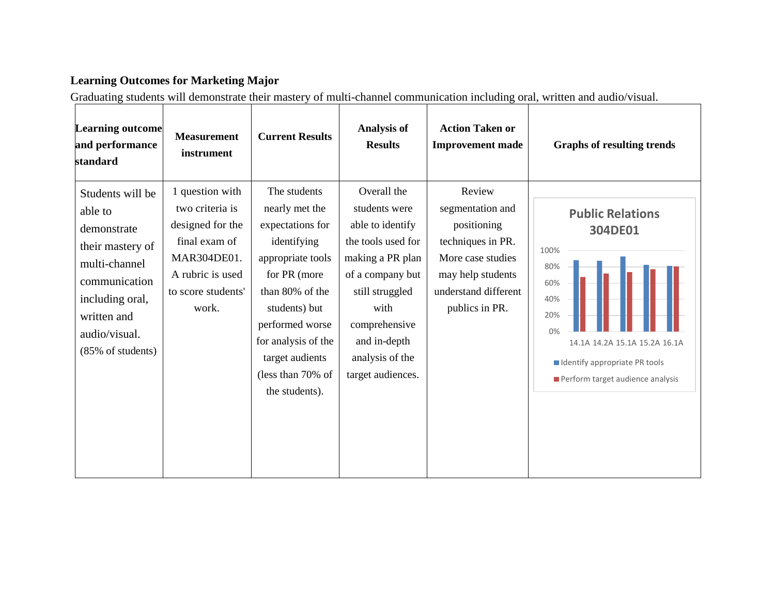## **Learning Outcomes for Marketing Major**

Graduating students will demonstrate their mastery of multi-channel communication including oral, written and audio/visual.

| <b>Learning outcome</b><br>and performance<br>standard                                                                                                                   | <b>Measurement</b><br>instrument                                                                                                          | <b>Current Results</b>                                                                                                                                                                                                                         | <b>Analysis of</b><br><b>Results</b>                                                                                                                                                                               | <b>Action Taken or</b><br><b>Improvement made</b>                                                                                                  | <b>Graphs of resulting trends</b>                                                                                                                                                    |
|--------------------------------------------------------------------------------------------------------------------------------------------------------------------------|-------------------------------------------------------------------------------------------------------------------------------------------|------------------------------------------------------------------------------------------------------------------------------------------------------------------------------------------------------------------------------------------------|--------------------------------------------------------------------------------------------------------------------------------------------------------------------------------------------------------------------|----------------------------------------------------------------------------------------------------------------------------------------------------|--------------------------------------------------------------------------------------------------------------------------------------------------------------------------------------|
| Students will be<br>able to<br>demonstrate<br>their mastery of<br>multi-channel<br>communication<br>including oral,<br>written and<br>audio/visual.<br>(85% of students) | 1 question with<br>two criteria is<br>designed for the<br>final exam of<br>MAR304DE01.<br>A rubric is used<br>to score students'<br>work. | The students<br>nearly met the<br>expectations for<br>identifying<br>appropriate tools<br>for PR (more<br>than 80% of the<br>students) but<br>performed worse<br>for analysis of the<br>target audients<br>(less than 70% of<br>the students). | Overall the<br>students were<br>able to identify<br>the tools used for<br>making a PR plan<br>of a company but<br>still struggled<br>with<br>comprehensive<br>and in-depth<br>analysis of the<br>target audiences. | Review<br>segmentation and<br>positioning<br>techniques in PR.<br>More case studies<br>may help students<br>understand different<br>publics in PR. | <b>Public Relations</b><br>304DE01<br>100%<br>80%<br>60%<br>40%<br>20%<br>0%<br>14.1A 14.2A 15.1A 15.2A 16.1A<br>I Identify appropriate PR tools<br>Perform target audience analysis |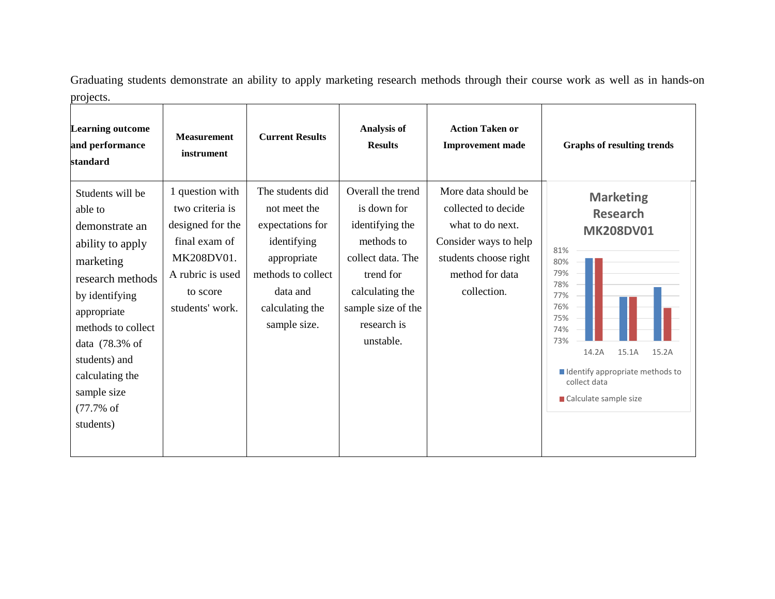Graduating students demonstrate an ability to apply marketing research methods through their course work as well as in hands-on projects. <u> 2008 - Johann Stein, mars and deutscher Stein (zu dem Stein Stein Stein Stein Stein Stein Stein Stein Stein</u>  $\overline{\phantom{a}}$ 

| <b>Learning outcome</b><br>and performance<br>standard                                                                                                                                                                                                     | <b>Measurement</b><br>instrument                                                                                                         | <b>Current Results</b>                                                                                                                                  | <b>Analysis of</b><br><b>Results</b>                                                                                                                                     | <b>Action Taken or</b><br><b>Improvement</b> made                                                                                                  | <b>Graphs of resulting trends</b>                                                                                                                                                                                                 |
|------------------------------------------------------------------------------------------------------------------------------------------------------------------------------------------------------------------------------------------------------------|------------------------------------------------------------------------------------------------------------------------------------------|---------------------------------------------------------------------------------------------------------------------------------------------------------|--------------------------------------------------------------------------------------------------------------------------------------------------------------------------|----------------------------------------------------------------------------------------------------------------------------------------------------|-----------------------------------------------------------------------------------------------------------------------------------------------------------------------------------------------------------------------------------|
| Students will be<br>able to<br>demonstrate an<br>ability to apply<br>marketing<br>research methods<br>by identifying<br>appropriate<br>methods to collect<br>data (78.3% of<br>students) and<br>calculating the<br>sample size<br>$(77.7%$ of<br>students) | 1 question with<br>two criteria is<br>designed for the<br>final exam of<br>MK208DV01.<br>A rubric is used<br>to score<br>students' work. | The students did<br>not meet the<br>expectations for<br>identifying<br>appropriate<br>methods to collect<br>data and<br>calculating the<br>sample size. | Overall the trend<br>is down for<br>identifying the<br>methods to<br>collect data. The<br>trend for<br>calculating the<br>sample size of the<br>research is<br>unstable. | More data should be<br>collected to decide<br>what to do next.<br>Consider ways to help<br>students choose right<br>method for data<br>collection. | <b>Marketing</b><br><b>Research</b><br><b>MK208DV01</b><br>81%<br>80%<br>79%<br>78%<br>77%<br>76%<br>75%<br>74%<br>73%<br>14.2A<br>15.1A<br>15.2A<br>I Identify appropriate methods to<br>collect data<br>■ Calculate sample size |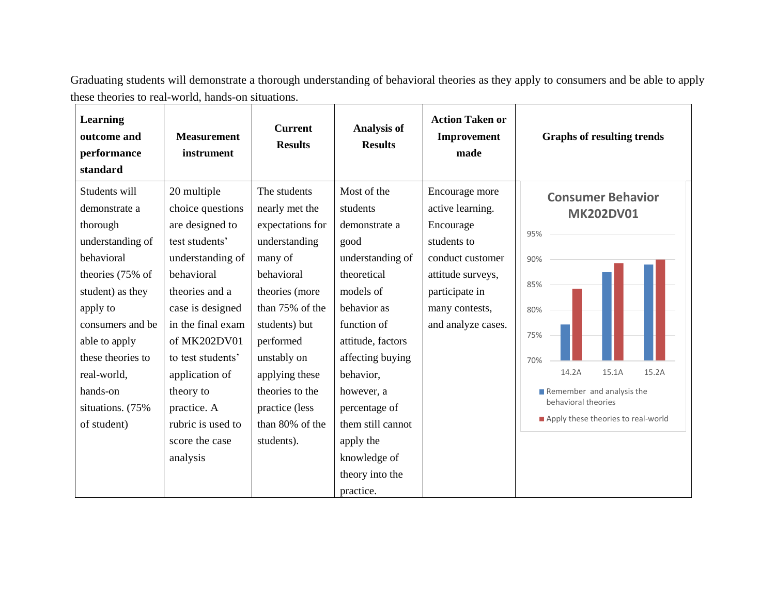Graduating students will demonstrate a thorough understanding of behavioral theories as they apply to consumers and be able to apply these theories to real-world, hands-on situations. 

| Learning<br>outcome and<br>performance<br>standard                                                                                                                                                                                                        | <b>Measurement</b><br>instrument                                                                                                                                                                                                                                                                        | <b>Current</b><br><b>Results</b>                                                                                                                                                                                                                                       | <b>Analysis of</b><br><b>Results</b>                                                                                                                                                                                                                                                                  | <b>Action Taken or</b><br>Improvement<br>made                                                                                                                     | <b>Graphs of resulting trends</b>                                                                                                                                                                           |
|-----------------------------------------------------------------------------------------------------------------------------------------------------------------------------------------------------------------------------------------------------------|---------------------------------------------------------------------------------------------------------------------------------------------------------------------------------------------------------------------------------------------------------------------------------------------------------|------------------------------------------------------------------------------------------------------------------------------------------------------------------------------------------------------------------------------------------------------------------------|-------------------------------------------------------------------------------------------------------------------------------------------------------------------------------------------------------------------------------------------------------------------------------------------------------|-------------------------------------------------------------------------------------------------------------------------------------------------------------------|-------------------------------------------------------------------------------------------------------------------------------------------------------------------------------------------------------------|
| Students will<br>demonstrate a<br>thorough<br>understanding of<br>behavioral<br>theories (75% of<br>student) as they<br>apply to<br>consumers and be<br>able to apply<br>these theories to<br>real-world,<br>hands-on<br>situations. (75%)<br>of student) | 20 multiple<br>choice questions<br>are designed to<br>test students'<br>understanding of<br>behavioral<br>theories and a<br>case is designed<br>in the final exam<br>of MK202DV01<br>to test students'<br>application of<br>theory to<br>practice. A<br>rubric is used to<br>score the case<br>analysis | The students<br>nearly met the<br>expectations for<br>understanding<br>many of<br>behavioral<br>theories (more<br>than 75% of the<br>students) but<br>performed<br>unstably on<br>applying these<br>theories to the<br>practice (less<br>than 80% of the<br>students). | Most of the<br>students<br>demonstrate a<br>good<br>understanding of<br>theoretical<br>models of<br>behavior as<br>function of<br>attitude, factors<br>affecting buying<br>behavior,<br>however, a<br>percentage of<br>them still cannot<br>apply the<br>knowledge of<br>theory into the<br>practice. | Encourage more<br>active learning.<br>Encourage<br>students to<br>conduct customer<br>attitude surveys,<br>participate in<br>many contests,<br>and analyze cases. | <b>Consumer Behavior</b><br><b>MK202DV01</b><br>95%<br>90%<br>85%<br>80%<br>75%<br>70%<br>14.2A<br>15.1A<br>15.2A<br>Remember and analysis the<br>behavioral theories<br>Apply these theories to real-world |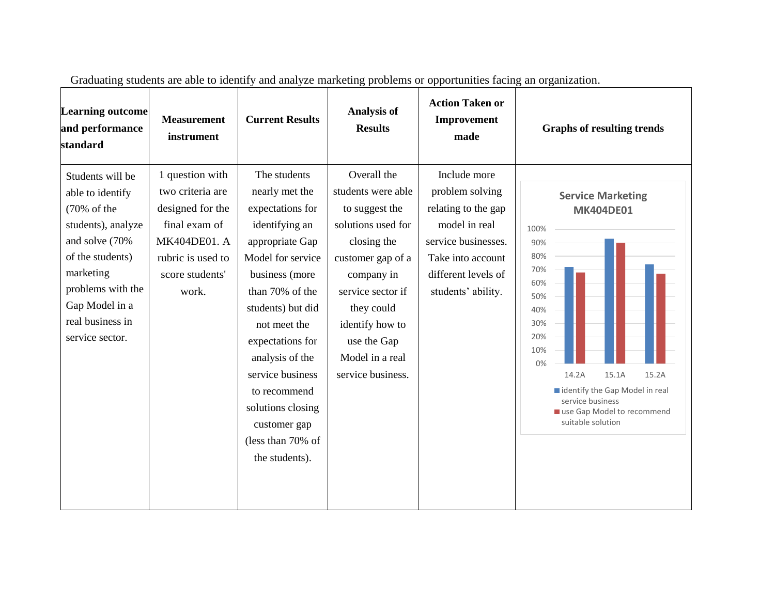| <b>Learning outcome</b><br>and performance<br>standard                                                                                                                                                     | <b>Measurement</b><br>instrument                                                                                                          | <b>Current Results</b>                                                                                                                                                                                                                                                                                                                        | <b>Analysis of</b><br><b>Results</b>                                                                                                                                                                                                     | <b>Action Taken or</b><br>Improvement<br>made                                                                                                                    | <b>Graphs of resulting trends</b>                                                                                                                                                                                                                             |
|------------------------------------------------------------------------------------------------------------------------------------------------------------------------------------------------------------|-------------------------------------------------------------------------------------------------------------------------------------------|-----------------------------------------------------------------------------------------------------------------------------------------------------------------------------------------------------------------------------------------------------------------------------------------------------------------------------------------------|------------------------------------------------------------------------------------------------------------------------------------------------------------------------------------------------------------------------------------------|------------------------------------------------------------------------------------------------------------------------------------------------------------------|---------------------------------------------------------------------------------------------------------------------------------------------------------------------------------------------------------------------------------------------------------------|
| Students will be<br>able to identify<br>(70% of the<br>students), analyze<br>and solve (70%<br>of the students)<br>marketing<br>problems with the<br>Gap Model in a<br>real business in<br>service sector. | 1 question with<br>two criteria are<br>designed for the<br>final exam of<br>MK404DE01. A<br>rubric is used to<br>score students'<br>work. | The students<br>nearly met the<br>expectations for<br>identifying an<br>appropriate Gap<br>Model for service<br>business (more<br>than 70% of the<br>students) but did<br>not meet the<br>expectations for<br>analysis of the<br>service business<br>to recommend<br>solutions closing<br>customer gap<br>(less than 70% of<br>the students). | Overall the<br>students were able<br>to suggest the<br>solutions used for<br>closing the<br>customer gap of a<br>company in<br>service sector if<br>they could<br>identify how to<br>use the Gap<br>Model in a real<br>service business. | Include more<br>problem solving<br>relating to the gap<br>model in real<br>service businesses.<br>Take into account<br>different levels of<br>students' ability. | <b>Service Marketing</b><br><b>MK404DE01</b><br>100%<br>90%<br>80%<br>70%<br>60%<br>50%<br>40%<br>30%<br>20%<br>10%<br>0%<br>14.2A<br>15.1A<br>15.2A<br>identify the Gap Model in real<br>service business<br>use Gap Model to recommend<br>suitable solution |

Graduating students are able to identify and analyze marketing problems or opportunities facing an organization.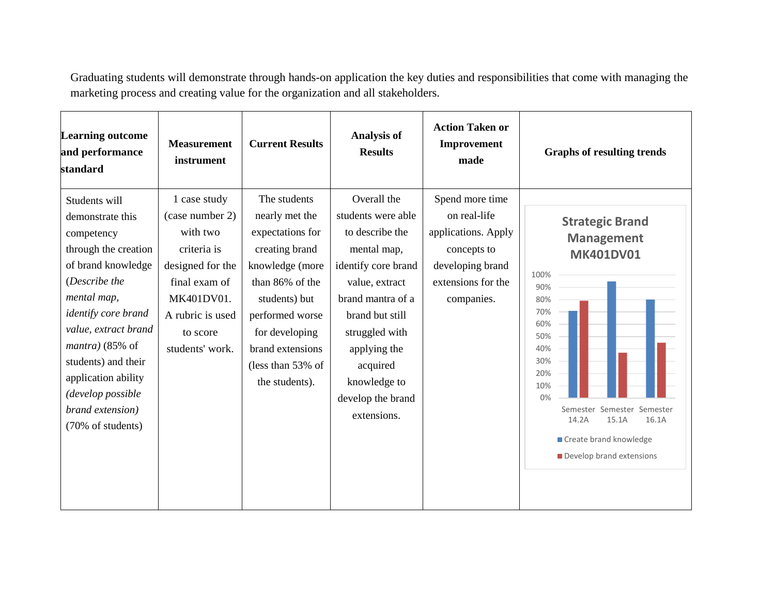Graduating students will demonstrate through hands-on application the key duties and responsibilities that come with managing the marketing process and creating value for the organization and all stakeholders.

| <b>Learning outcome</b><br>and performance<br>standard                                                                                                                                                                                                                                                         | <b>Measurement</b><br>instrument                                                                                                                                 | <b>Current Results</b>                                                                                                                                                                                                      | <b>Analysis of</b><br><b>Results</b>                                                                                                                                                                                                                   | <b>Action Taken or</b><br>Improvement<br>made                                                                                 | <b>Graphs of resulting trends</b>                                                                                                                                                                                                                                 |
|----------------------------------------------------------------------------------------------------------------------------------------------------------------------------------------------------------------------------------------------------------------------------------------------------------------|------------------------------------------------------------------------------------------------------------------------------------------------------------------|-----------------------------------------------------------------------------------------------------------------------------------------------------------------------------------------------------------------------------|--------------------------------------------------------------------------------------------------------------------------------------------------------------------------------------------------------------------------------------------------------|-------------------------------------------------------------------------------------------------------------------------------|-------------------------------------------------------------------------------------------------------------------------------------------------------------------------------------------------------------------------------------------------------------------|
| Students will<br>demonstrate this<br>competency<br>through the creation<br>of brand knowledge<br>(Describe the<br>mental map,<br>identify core brand<br>value, extract brand<br>$mantra$ ) (85% of<br>students) and their<br>application ability<br>(develop possible<br>brand extension)<br>(70% of students) | 1 case study<br>(case number 2)<br>with two<br>criteria is<br>designed for the<br>final exam of<br>MK401DV01.<br>A rubric is used<br>to score<br>students' work. | The students<br>nearly met the<br>expectations for<br>creating brand<br>knowledge (more<br>than 86% of the<br>students) but<br>performed worse<br>for developing<br>brand extensions<br>(less than 53% of<br>the students). | Overall the<br>students were able<br>to describe the<br>mental map,<br>identify core brand<br>value, extract<br>brand mantra of a<br>brand but still<br>struggled with<br>applying the<br>acquired<br>knowledge to<br>develop the brand<br>extensions. | Spend more time<br>on real-life<br>applications. Apply<br>concepts to<br>developing brand<br>extensions for the<br>companies. | <b>Strategic Brand</b><br><b>Management</b><br><b>MK401DV01</b><br>100%<br>90%<br>80%<br>70%<br>60%<br>50%<br>40%<br>30%<br>20%<br>10%<br>0%<br>Semester<br>Semester<br>Semester<br>15.1A<br>16.1A<br>14.2A<br>Create brand knowledge<br>Develop brand extensions |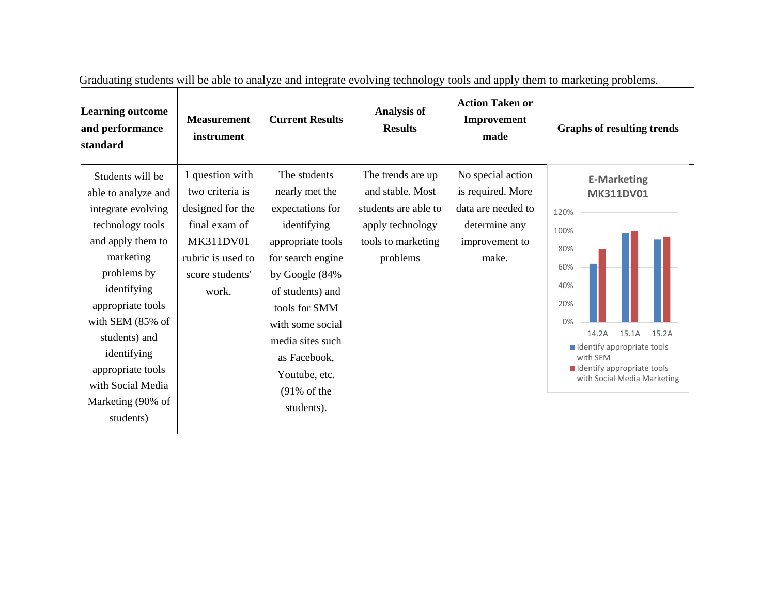| <b>Learning outcome</b><br>and performance<br>standard                                                                                                                                                                                                                                                 | <b>Measurement</b><br>instrument                                                                                                      | <b>Current Results</b>                                                                                                                                                                                                                                                               | <b>Analysis of</b><br><b>Results</b>                                                                                | <b>Action Taken or</b><br>Improvement<br>made                                                            | <b>Graphs of resulting trends</b>                                                                                                                                                                                            |
|--------------------------------------------------------------------------------------------------------------------------------------------------------------------------------------------------------------------------------------------------------------------------------------------------------|---------------------------------------------------------------------------------------------------------------------------------------|--------------------------------------------------------------------------------------------------------------------------------------------------------------------------------------------------------------------------------------------------------------------------------------|---------------------------------------------------------------------------------------------------------------------|----------------------------------------------------------------------------------------------------------|------------------------------------------------------------------------------------------------------------------------------------------------------------------------------------------------------------------------------|
| Students will be<br>able to analyze and<br>integrate evolving<br>technology tools<br>and apply them to<br>marketing<br>problems by<br>identifying<br>appropriate tools<br>with SEM (85% of<br>students) and<br>identifying<br>appropriate tools<br>with Social Media<br>Marketing (90% of<br>students) | 1 question with<br>two criteria is<br>designed for the<br>final exam of<br>MK311DV01<br>rubric is used to<br>score students'<br>work. | The students<br>nearly met the<br>expectations for<br>identifying<br>appropriate tools<br>for search engine<br>by Google (84%<br>of students) and<br>tools for SMM<br>with some social<br>media sites such<br>as Facebook,<br>Youtube, etc.<br>$(91\% \text{ of the})$<br>students). | The trends are up<br>and stable. Most<br>students are able to<br>apply technology<br>tools to marketing<br>problems | No special action<br>is required. More<br>data are needed to<br>determine any<br>improvement to<br>make. | <b>E-Marketing</b><br><b>MK311DV01</b><br>120%<br>100%<br>80%<br>60%<br>40%<br>20%<br>0%<br>14.2A<br>15.1A<br>15.2A<br>Identify appropriate tools<br>with SEM<br>I Identify appropriate tools<br>with Social Media Marketing |

Graduating students will be able to analyze and integrate evolving technology tools and apply them to marketing problems.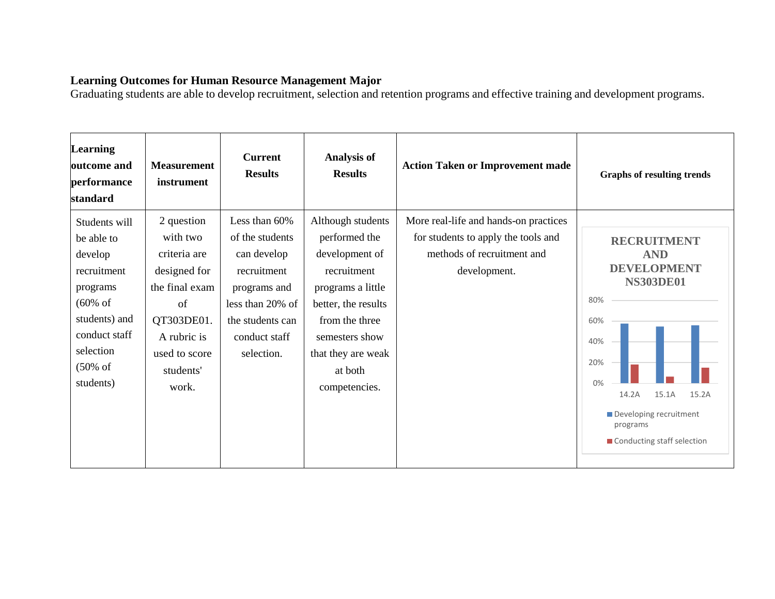#### **Learning Outcomes for Human Resource Management Major**

Graduating students are able to develop recruitment, selection and retention programs and effective training and development programs.

| <b>Learning</b><br>outcome and<br>performance<br>standard                                                                                                                   | <b>Measurement</b><br>instrument                                                                                                                   | <b>Current</b><br><b>Results</b>                                                                                                                      | <b>Analysis of</b><br><b>Results</b>                                                                                                                                                                  | <b>Action Taken or Improvement made</b>                                                                                    | <b>Graphs of resulting trends</b>                                                                                                                                                                             |
|-----------------------------------------------------------------------------------------------------------------------------------------------------------------------------|----------------------------------------------------------------------------------------------------------------------------------------------------|-------------------------------------------------------------------------------------------------------------------------------------------------------|-------------------------------------------------------------------------------------------------------------------------------------------------------------------------------------------------------|----------------------------------------------------------------------------------------------------------------------------|---------------------------------------------------------------------------------------------------------------------------------------------------------------------------------------------------------------|
| Students will<br>be able to<br>develop<br>recruitment<br>programs<br>$(60\% \text{ of }$<br>students) and<br>conduct staff<br>selection<br>$(50\% \text{ of }$<br>students) | 2 question<br>with two<br>criteria are<br>designed for<br>the final exam<br>of<br>QT303DE01.<br>A rubric is<br>used to score<br>students'<br>work. | Less than 60%<br>of the students<br>can develop<br>recruitment<br>programs and<br>less than 20% of<br>the students can<br>conduct staff<br>selection. | Although students<br>performed the<br>development of<br>recruitment<br>programs a little<br>better, the results<br>from the three<br>semesters show<br>that they are weak<br>at both<br>competencies. | More real-life and hands-on practices<br>for students to apply the tools and<br>methods of recruitment and<br>development. | <b>RECRUITMENT</b><br><b>AND</b><br><b>DEVELOPMENT</b><br><b>NS303DE01</b><br>80%<br>60%<br>40%<br>20%<br>0%<br>14.2A<br>15.1A<br>15.2A<br>Developing recruitment<br>programs<br>■ Conducting staff selection |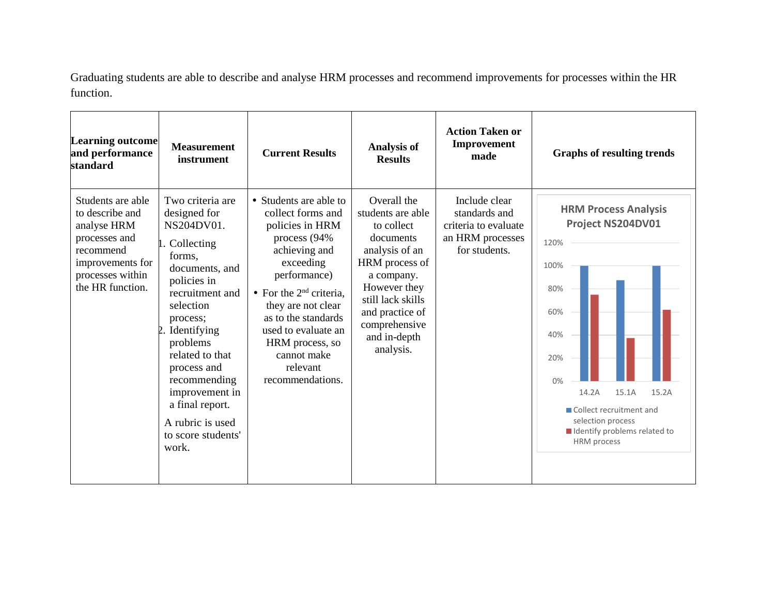Graduating students are able to describe and analyse HRM processes and recommend improvements for processes within the HR function.

| <b>Learning outcome</b><br>and performance<br>standard                                                                                        | <b>Measurement</b><br>instrument                                                                                                                                                                                                                                                                                         | <b>Current Results</b>                                                                                                                                                                                                                                                                           | <b>Analysis of</b><br><b>Results</b>                                                                                                                                                                                | <b>Action Taken or</b><br>Improvement<br>made                                               | <b>Graphs of resulting trends</b>                                                                                                                                                                                                     |
|-----------------------------------------------------------------------------------------------------------------------------------------------|--------------------------------------------------------------------------------------------------------------------------------------------------------------------------------------------------------------------------------------------------------------------------------------------------------------------------|--------------------------------------------------------------------------------------------------------------------------------------------------------------------------------------------------------------------------------------------------------------------------------------------------|---------------------------------------------------------------------------------------------------------------------------------------------------------------------------------------------------------------------|---------------------------------------------------------------------------------------------|---------------------------------------------------------------------------------------------------------------------------------------------------------------------------------------------------------------------------------------|
| Students are able<br>to describe and<br>analyse HRM<br>processes and<br>recommend<br>improvements for<br>processes within<br>the HR function. | Two criteria are<br>designed for<br>NS204DV01.<br>Collecting<br>forms.<br>documents, and<br>policies in<br>recruitment and<br>selection<br>process;<br>Identifying<br>problems<br>related to that<br>process and<br>recommending<br>improvement in<br>a final report.<br>A rubric is used<br>to score students'<br>work. | • Students are able to<br>collect forms and<br>policies in HRM<br>process (94%)<br>achieving and<br>exceeding<br>performance)<br>• For the $2nd$ criteria,<br>they are not clear<br>as to the standards<br>used to evaluate an<br>HRM process, so<br>cannot make<br>relevant<br>recommendations. | Overall the<br>students are able<br>to collect<br>documents<br>analysis of an<br>HRM process of<br>a company.<br>However they<br>still lack skills<br>and practice of<br>comprehensive<br>and in-depth<br>analysis. | Include clear<br>standards and<br>criteria to evaluate<br>an HRM processes<br>for students. | <b>HRM Process Analysis</b><br>Project NS204DV01<br>120%<br>100%<br>80%<br>60%<br>40%<br>20%<br>0%<br>15.2A<br>14.2A<br>15.1A<br>Collect recruitment and<br>selection process<br>I Identify problems related to<br><b>HRM</b> process |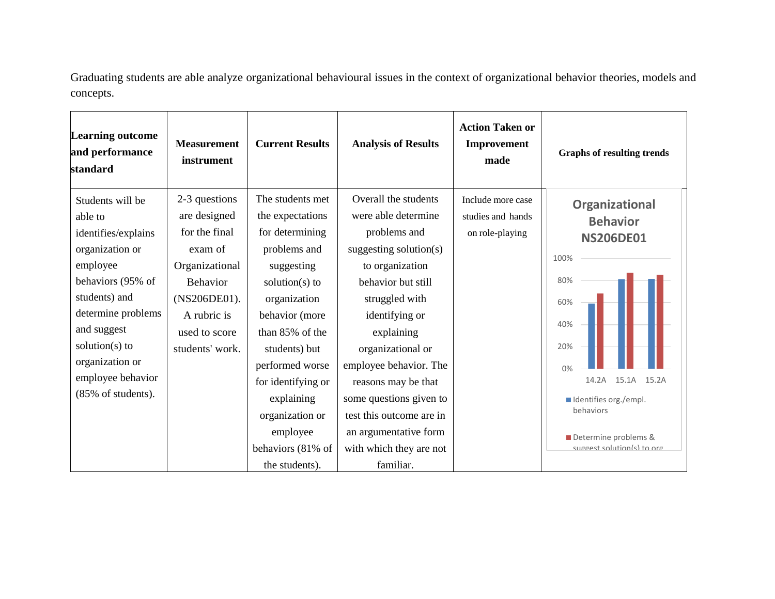Graduating students are able analyze organizational behavioural issues in the context of organizational behavior theories, models and concepts.

| <b>Learning outcome</b><br>and performance<br>standard                                                                                                                                                                                           | <b>Measurement</b><br>instrument                                                                                                                                  | <b>Current Results</b>                                                                                                                                                                                                                                                                                         | <b>Analysis of Results</b>                                                                                                                                                                                                                                                                                                                                                     | <b>Action Taken or</b><br>Improvement<br>made             | <b>Graphs of resulting trends</b>                                                                                                                                                                                      |
|--------------------------------------------------------------------------------------------------------------------------------------------------------------------------------------------------------------------------------------------------|-------------------------------------------------------------------------------------------------------------------------------------------------------------------|----------------------------------------------------------------------------------------------------------------------------------------------------------------------------------------------------------------------------------------------------------------------------------------------------------------|--------------------------------------------------------------------------------------------------------------------------------------------------------------------------------------------------------------------------------------------------------------------------------------------------------------------------------------------------------------------------------|-----------------------------------------------------------|------------------------------------------------------------------------------------------------------------------------------------------------------------------------------------------------------------------------|
| Students will be<br>able to<br>identifies/explains<br>organization or<br>employee<br>behaviors (95% of<br>students) and<br>determine problems<br>and suggest<br>solution( $s$ ) to<br>organization or<br>employee behavior<br>(85% of students). | 2-3 questions<br>are designed<br>for the final<br>exam of<br>Organizational<br><b>Behavior</b><br>(NS206DE01).<br>A rubric is<br>used to score<br>students' work. | The students met<br>the expectations<br>for determining<br>problems and<br>suggesting<br>solution( $s$ ) to<br>organization<br>behavior (more<br>than 85% of the<br>students) but<br>performed worse<br>for identifying or<br>explaining<br>organization or<br>employee<br>behaviors (81% of<br>the students). | Overall the students<br>were able determine<br>problems and<br>suggesting solution(s)<br>to organization<br>behavior but still<br>struggled with<br>identifying or<br>explaining<br>organizational or<br>employee behavior. The<br>reasons may be that<br>some questions given to<br>test this outcome are in<br>an argumentative form<br>with which they are not<br>familiar. | Include more case<br>studies and hands<br>on role-playing | Organizational<br><b>Behavior</b><br><b>NS206DE01</b><br>100%<br>80%<br>60%<br>40%<br>20%<br>0%<br>14.2A<br>15.1A<br>15.2A<br>Identifies org./empl.<br>behaviors<br>Determine problems &<br>suggest solution(s) to org |